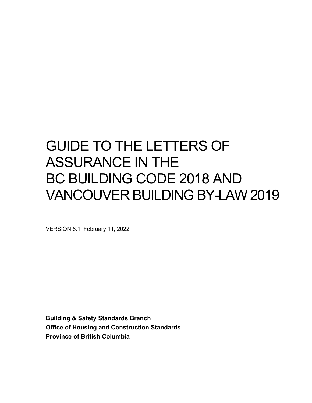# GUIDE TO THE LETTERS OF ASSURANCE IN THE BC BUILDING CODE 2018 AND VANCOUVER BUILDING BY-LAW 2019

VERSION 6.1: February 11, 2022

**Building & Safety Standards Branch Office of Housing and Construction Standards Province of British Columbia**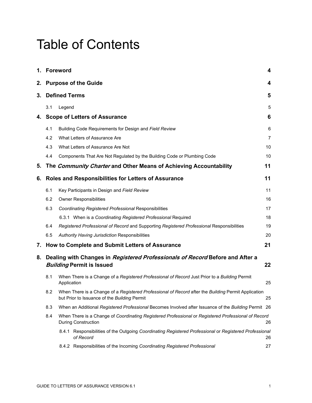# Table of Contents

|    | 1. Foreword                                                                                                       |                                                                                                                                                     |                |
|----|-------------------------------------------------------------------------------------------------------------------|-----------------------------------------------------------------------------------------------------------------------------------------------------|----------------|
|    | 2. Purpose of the Guide                                                                                           |                                                                                                                                                     |                |
| 3. | <b>Defined Terms</b>                                                                                              |                                                                                                                                                     |                |
|    | 3.1                                                                                                               | Legend                                                                                                                                              | 5              |
| 4. |                                                                                                                   | <b>Scope of Letters of Assurance</b>                                                                                                                | 6              |
|    | 4.1                                                                                                               | Building Code Requirements for Design and Field Review                                                                                              | 6              |
|    | 4.2                                                                                                               | What Letters of Assurance Are                                                                                                                       | $\overline{7}$ |
|    | 4.3                                                                                                               | What Letters of Assurance Are Not                                                                                                                   | 10             |
|    | 4.4                                                                                                               | Components That Are Not Regulated by the Building Code or Plumbing Code                                                                             | 10             |
| 5. |                                                                                                                   | The Community Charter and Other Means of Achieving Accountability                                                                                   | 11             |
| 6. |                                                                                                                   | Roles and Responsibilities for Letters of Assurance                                                                                                 | 11             |
|    | 6.1                                                                                                               | Key Participants in Design and Field Review                                                                                                         | 11             |
|    | 6.2                                                                                                               | <b>Owner Responsibilities</b>                                                                                                                       | 16             |
|    | 6.3                                                                                                               | <b>Coordinating Registered Professional Responsibilities</b>                                                                                        | 17             |
|    |                                                                                                                   | 6.3.1 When is a Coordinating Registered Professional Required                                                                                       | 18             |
|    | 6.4                                                                                                               | Registered Professional of Record and Supporting Registered Professional Responsibilities                                                           | 19             |
|    | 6.5                                                                                                               | Authority Having Jurisdiction Responsibilities                                                                                                      | 20             |
| 7. |                                                                                                                   | How to Complete and Submit Letters of Assurance                                                                                                     | 21             |
| 8. | Dealing with Changes in Registered Professionals of Record Before and After a<br><b>Building Permit is Issued</b> |                                                                                                                                                     | 22             |
|    | 8.1                                                                                                               | When There is a Change of a Registered Professional of Record Just Prior to a Building Permit<br>Application                                        | 25             |
|    | 8.2                                                                                                               | When There is a Change of a Registered Professional of Record after the Building Permit Application<br>but Prior to Issuance of the Building Permit | 25             |
|    | 8.3                                                                                                               | When an Additional Registered Professional Becomes Involved after Issuance of the Building Permit 26                                                |                |
|    | 8.4                                                                                                               | When There is a Change of Coordinating Registered Professional or Registered Professional of Record<br><b>During Construction</b>                   | 26             |
|    |                                                                                                                   | 8.4.1 Responsibilities of the Outgoing Coordinating Registered Professional or Registered Professional<br>of Record                                 | 26             |
|    |                                                                                                                   | 8.4.2 Responsibilities of the Incoming Coordinating Registered Professional                                                                         | 27             |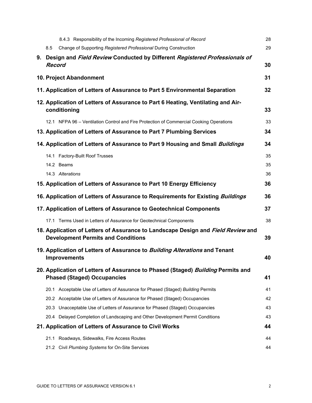|               | 8.4.3 Responsibility of the Incoming Registered Professional of Record                                                        | 28 |
|---------------|-------------------------------------------------------------------------------------------------------------------------------|----|
| 8.5           | Change of Supporting Registered Professional During Construction                                                              | 29 |
| <b>Record</b> | 9. Design and Field Review Conducted by Different Registered Professionals of                                                 | 30 |
|               | 10. Project Abandonment                                                                                                       | 31 |
|               | 11. Application of Letters of Assurance to Part 5 Environmental Separation                                                    | 32 |
|               | 12. Application of Letters of Assurance to Part 6 Heating, Ventilating and Air-<br>conditioning                               | 33 |
|               | 12.1 NFPA 96 - Ventilation Control and Fire Protection of Commercial Cooking Operations                                       | 33 |
|               | 13. Application of Letters of Assurance to Part 7 Plumbing Services                                                           | 34 |
|               | 14. Application of Letters of Assurance to Part 9 Housing and Small Buildings                                                 | 34 |
|               | 14.1 Factory-Built Roof Trusses                                                                                               | 35 |
|               | 14.2 Beams                                                                                                                    | 35 |
|               | 14.3 Alterations                                                                                                              | 36 |
|               | 15. Application of Letters of Assurance to Part 10 Energy Efficiency                                                          | 36 |
|               | 16. Application of Letters of Assurance to Requirements for Existing <i>Buildings</i>                                         | 36 |
|               | 17. Application of Letters of Assurance to Geotechnical Components                                                            | 37 |
|               | 17.1 Terms Used in Letters of Assurance for Geotechnical Components                                                           | 38 |
|               | 18. Application of Letters of Assurance to Landscape Design and Field Review and<br><b>Development Permits and Conditions</b> | 39 |
|               | 19. Application of Letters of Assurance to <i>Building Alterations</i> and Tenant<br><b>Improvements</b>                      | 40 |
|               | 20. Application of Letters of Assurance to Phased (Staged) Building Permits and<br><b>Phased (Staged) Occupancies</b>         | 41 |
|               | 20.1 Acceptable Use of Letters of Assurance for Phased (Staged) Building Permits                                              | 41 |
|               | 20.2 Acceptable Use of Letters of Assurance for Phased (Staged) Occupancies                                                   | 42 |
|               | 20.3 Unacceptable Use of Letters of Assurance for Phased (Staged) Occupancies                                                 | 43 |
|               | 20.4 Delayed Completion of Landscaping and Other Development Permit Conditions                                                | 43 |
|               | 21. Application of Letters of Assurance to Civil Works                                                                        | 44 |
|               | 21.1 Roadways, Sidewalks, Fire Access Routes                                                                                  | 44 |
|               | 21.2 Civil Plumbing Systems for On-Site Services                                                                              | 44 |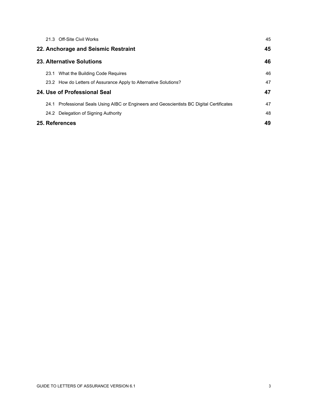|                           |                                     | 21.3 Off-Site Civil Works                                                                 | 45 |
|---------------------------|-------------------------------------|-------------------------------------------------------------------------------------------|----|
|                           | 22. Anchorage and Seismic Restraint |                                                                                           |    |
| 23. Alternative Solutions |                                     |                                                                                           | 46 |
|                           |                                     | 23.1 What the Building Code Requires                                                      | 46 |
|                           |                                     | 23.2 How do Letters of Assurance Apply to Alternative Solutions?                          | 47 |
|                           | 24. Use of Professional Seal        |                                                                                           | 47 |
|                           |                                     | 24.1 Professional Seals Using AIBC or Engineers and Geoscientists BC Digital Certificates | 47 |
|                           |                                     | 24.2 Delegation of Signing Authority                                                      | 48 |
|                           |                                     | 25. References                                                                            | 49 |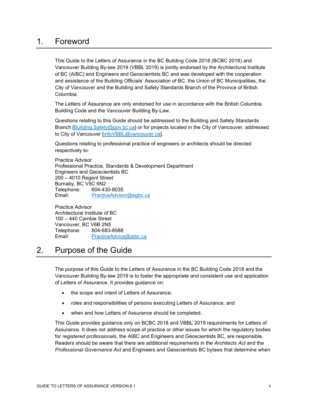# <span id="page-4-0"></span>1. Foreword

This Guide to the Letters of Assurance in the BC Building Code 2018 (BCBC 2018) and Vancouver Building By-law 2019 (VBBL 2019) is jointly endorsed by the Architectural Institute of BC (AIBC) and Engineers and Geoscientists BC and was developed with the cooperation and assistance of the Building Officials' Association of BC, the Union of BC Municipalities, the City of Vancouver and the Building and Safety Standards Branch of the Province of British Columbia.

The Letters of Assurance are only endorsed for use in accordance with the British Columbia Building Code and the Vancouver Building By-Law.

Questions relating to this Guide should be addressed to the Building and Safety Standards Branch [\[Building.Safety@gov.bc.ca\]](mailto:Building.Safety@gov.bc.ca) or for projects located in the City of Vancouver, addressed to City of Vancouver [\[infoVBBL@vancouver.ca\]](mailto:infoVBBL@vancouver.ca).

Questions relating to professional practice of engineers or architects should be directed respectively to:

Practice Advisor Professional Practice, Standards & Development Department Engineers and Geoscientists BC 200 – 4010 Regent Street Burnaby, BC V5C 6N2 Telephone: 604-430-8035<br>Email: PracticeAdvisc [PracticeAdvisor@egbc.ca](mailto:PracticeAdvisor@egbc.ca)

Practice Advisor Architectural Institute of BC 100 – 440 Cambie Street Vancouver, BC V6B 2N5 Telephone: 604-683-8588 Email: [PracticeAdvice@aibc.ca](mailto:PracticeAdvice@aibc.ca)

# <span id="page-4-1"></span>2. Purpose of the Guide

The purpose of this Guide to the Letters of Assurance in the BC Building Code 2018 and the Vancouver Building By-law 2019 is to foster the appropriate and consistent use and application of Letters of Assurance. It provides guidance on:

- the scope and intent of Letters of Assurance;
- roles and responsibilities of persons executing Letters of Assurance; and
- when and how Letters of Assurance should be completed.

This Guide provides guidance only on BCBC 2018 and VBBL 2019 requirements for Letters of Assurance. It does not address scope of practice or other issues for which the regulatory bodies for *registered professionals*, the AIBC and Engineers and Geoscientists BC, are responsible. Readers should be aware that there are additional requirements in the *Architects Act* and the *Professional Governance Act* and Engineers and Geoscientists BC bylaws that determine when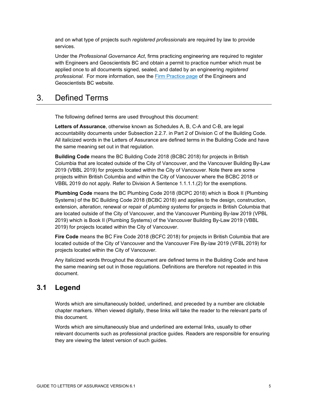and on what type of projects such *registered professionals* are required by law to provide services.

Under the *Professional Governance Act*, firms practicing engineering are required to register with Engineers and Geoscientists BC and obtain a permit to practice number which must be applied once to all documents signed, sealed, and dated by an engineering *registered professional*. For more information, see the [Firm Practice page](https://www.egbc.ca/Practice-Resources/Firm-Practice/Firm-Practice) of the Engineers and Geoscientists BC website.

### <span id="page-5-0"></span>3. Defined Terms

The following defined terms are used throughout this document:

**Letters of Assurance**, otherwise known as Schedules A, B, C-A and C-B, are legal accountability documents under Subsection 2.2.7. in Part 2 of Division C of the Building Code. All italicized words in the Letters of Assurance are defined terms in the Building Code and have the same meaning set out in that regulation.

**Building Code** means the BC Building Code 2018 (BCBC 2018) for projects in British Columbia that are located outside of the City of Vancouver, and the Vancouver Building By-Law 2019 (VBBL 2019) for projects located within the City of Vancouver. Note there are some projects within British Columbia and within the City of Vancouver where the BCBC 2018 or VBBL 2019 do not apply. Refer to Division A Sentence 1.1.1.1.(2) for the exemptions.

**Plumbing Code** means the BC Plumbing Code 2018 (BCPC 2018) which is Book II (Plumbing Systems) of the BC Building Code 2018 (BCBC 2018) and applies to the design, construction, extension, *alteration*, renewal or repair of *plumbing systems* for projects in British Columbia that are located outside of the City of Vancouver, and the Vancouver Plumbing By-law 2019 (VPBL 2019) which is Book II (Plumbing Systems) of the Vancouver Building By-Law 2019 (VBBL 2019) for projects located within the City of Vancouver.

**Fire Code** means the BC Fire Code 2018 (BCFC 2018) for projects in British Columbia that are located outside of the City of Vancouver and the Vancouver Fire By-law 2019 (VFBL 2019) for projects located within the City of Vancouver.

Any italicized words throughout the document are defined terms in the Building Code and have the same meaning set out in those regulations. Definitions are therefore not repeated in this document.

### <span id="page-5-1"></span>**3.1 Legend**

Words which are simultaneously bolded, underlined, and preceded by a number are clickable chapter markers. When viewed digitally, these links will take the reader to the relevant parts of this document.

Words which are simultaneously blue and underlined are external links, usually to other relevant documents such as professional practice guides. Readers are responsible for ensuring they are viewing the latest version of such guides.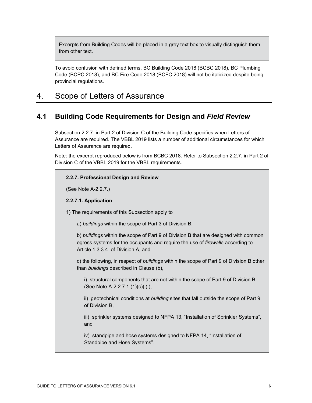Excerpts from Building Codes will be placed in a grey text box to visually distinguish them from other text.

To avoid confusion with defined terms, BC Building Code 2018 (BCBC 2018), BC Plumbing Code (BCPC 2018), and BC Fire Code 2018 (BCFC 2018) will not be italicized despite being provincial regulations.

### <span id="page-6-0"></span>4. Scope of Letters of Assurance

#### <span id="page-6-1"></span>**4.1 Building Code Requirements for Design and** *Field Review*

Subsection 2.2.7. in Part 2 of Division C of the Building Code specifies when Letters of Assurance are required. The VBBL 2019 lists a number of additional circumstances for which Letters of Assurance are required.

Note: the excerpt reproduced below is from BCBC 2018. Refer to Subsection 2.2.7. in Part 2 of Division C of the VBBL 2019 for the VBBL requirements.

#### **2.2.7. Professional Design and Review**

(See Note A-2.2.7.)

#### **2.2.7.1. Application**

1) The requirements of this Subsection apply to

a) *buildings* within the scope of Part 3 of Division B,

b) *buildings* within the scope of Part 9 of Division B that are designed with common egress systems for the occupants and require the use of *firewalls* according to Article 1.3.3.4. of Division A, and

c) the following, in respect of *buildings* within the scope of Part 9 of Division B other than *buildings* described in Clause (b),

i) structural components that are not within the scope of Part 9 of Division B (See Note A-2.2.7.1.(1)(c)(i).),

ii) geotechnical conditions at *building* sites that fall outside the scope of Part 9 of Division B,

iii) sprinkler systems designed to NFPA 13, "Installation of Sprinkler Systems", and

iv) standpipe and hose systems designed to NFPA 14, "Installation of Standpipe and Hose Systems".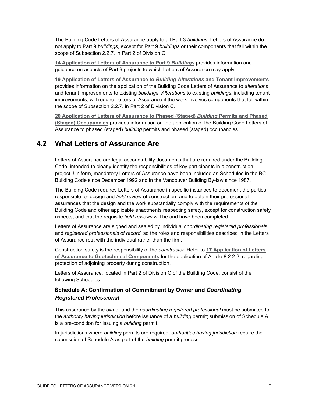The Building Code Letters of Assurance apply to all Part 3 *buildings*. Letters of Assurance do not apply to Part 9 *buildings*, except for Part 9 *buildings* or their components that fall within the scope of Subsection 2.2.7. in Part 2 of Division C.

**14 [Application of Letters of Assurance to Part 9](#page-34-1)** *Buildings* provides information and guidance on aspects of Part 9 projects to which Letters of Assurance may apply.

**19 [Application of Letters of Assurance to](#page-40-0)** *Building Alterations* **and Tenant Improvements** provides information on the application of the Building Code Letters of Assurance to *alterations* and tenant improvements to existing *buildings*. *Alterations* to existing *buildings*, including tenant improvements, will require Letters of Assurance if the work involves components that fall within the scope of Subsection 2.2.7. in Part 2 of Division C.

**20 [Application of Letters of Assurance to Phased](#page-41-0) (Staged)** *Building* **Permits and Phased [\(Staged\) Occupancies](#page-41-0)** provides information on the application of the Building Code Letters of Assurance to phased (staged) *building* permits and phased (staged) occupancies.

#### <span id="page-7-0"></span>**4.2 What Letters of Assurance Are**

Letters of Assurance are legal accountability documents that are required under the Building Code, intended to clearly identify the responsibilities of key participants in a construction project. Uniform, mandatory Letters of Assurance have been included as Schedules in the BC Building Code since December 1992 and in the Vancouver Building By-law since 1987.

The Building Code requires Letters of Assurance in specific instances to document the parties responsible for design and *field review* of construction, and to obtain their professional assurances that the design and the work substantially comply with the requirements of the Building Code and other applicable enactments respecting safety, except for construction safety aspects, and that the requisite *field reviews* will be and have been completed.

Letters of Assurance are signed and sealed by individual *coordinating registered professional*s and *registered professionals of record*, so the roles and responsibilities described in the Letters of Assurance rest with the individual rather than the firm.

Construction safety is the responsibility of the *constructor*. Refer to **[17 Application of Letters](#page-37-0)  [of Assurance to Geotechnical Components](#page-37-0)** for the application of Article 8.2.2.2. regarding protection of adjoining property during construction.

Letters of Assurance, located in Part 2 of Division C of the Building Code, consist of the following Schedules:

#### **Schedule A: Confirmation of Commitment by Owner and** *Coordinating Registered Professional*

This assurance by the owner and the *coordinating registered professional* must be submitted to the *authority having jurisdiction* before issuance of a *building* permit; submission of Schedule A is a pre-condition for issuing a *building* permit.

In jurisdictions where *building* permits are required, *authorities having jurisdiction* require the submission of Schedule A as part of the *building* permit process.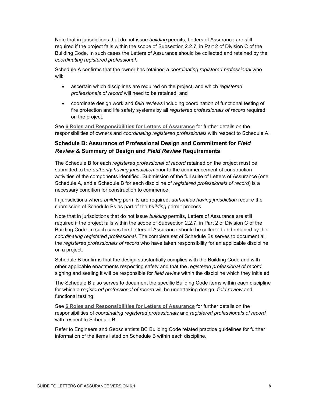Note that in jurisdictions that do not issue *building* permits, Letters of Assurance are still required if the project falls within the scope of Subsection 2.2.7. in Part 2 of Division C of the Building Code. In such cases the Letters of Assurance should be collected and retained by the *coordinating registered professional*.

Schedule A confirms that the owner has retained a *coordinating registered professional* who will:

- ascertain which disciplines are required on the project, and which *registered professionals of record* will need to be retained; and
- coordinate design work and *field reviews* including coordination of functional testing of fire protection and life safety systems by all *registered professionals of record* required on the project.

See **[6 Roles and Responsibilities for Letters of Assurance](#page-11-1)** for further details on the responsibilities of owners and *coordinating registered professionals* with respect to Schedule A.

#### **Schedule B: Assurance of Professional Design and Commitment for** *Field Review* **& Summary of Design and** *Field Review* **Requirements**

The Schedule B for each *registered professional of record* retained on the project must be submitted to the *authority having jurisdiction* prior to the commencement of construction activities of the components identified. Submission of the full suite of Letters of Assurance (one Schedule A, and a Schedule B for each discipline of *registered professionals of record*) is a necessary condition for construction to commence.

In jurisdictions where *building* permits are required, *authorities having jurisdiction* require the submission of Schedule Bs as part of the *building* permit process.

Note that in jurisdictions that do not issue *building* permits, Letters of Assurance are still required if the project falls within the scope of Subsection 2.2.7. in Part 2 of Division C of the Building Code. In such cases the Letters of Assurance should be collected and retained by the *coordinating registered professional*. The complete set of Schedule Bs serves to document all the *registered professionals of record* who have taken responsibility for an applicable discipline on a project.

Schedule B confirms that the design substantially complies with the Building Code and with other applicable enactments respecting safety and that the *registered professional of record* signing and sealing it will be responsible for *field review* within the discipline which they initialed.

The Schedule B also serves to document the specific Building Code items within each discipline for which a r*egistered professional of record* will be undertaking design, *field review* and functional testing.

See **6 [Roles and Responsibilities for Letters](#page-11-1) of Assurance** for further details on the responsibilities of *coordinating registered professionals* and *registered professionals of record*  with respect to Schedule B.

Refer to Engineers and Geoscientists BC Building Code related practice guidelines for further information of the items listed on Schedule B within each discipline.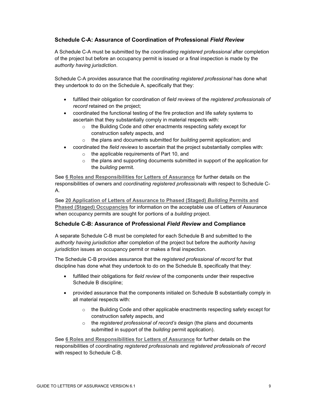#### **Schedule C-A: Assurance of Coordination of Professional** *Field Review*

A Schedule C-A must be submitted by the *coordinating registered professional* after completion of the project but before an occupancy permit is issued or a final inspection is made by the *authority having jurisdiction*.

Schedule C-A provides assurance that the *coordinating registered professional* has done what they undertook to do on the Schedule A, specifically that they:

- fulfilled their obligation for coordination of *field reviews* of the *registered professionals of record* retained on the project;
- coordinated the functional testing of the fire protection and life safety systems to ascertain that they substantially comply in material respects with:
	- o the Building Code and other enactments respecting safety except for construction safety aspects, and
	- o the plans and documents submitted for *building* permit application; and
- coordinated the *field reviews* to ascertain that the project substantially complies with:
	- o the applicable requirements of Part 10, and
	- $\circ$  the plans and supporting documents submitted in support of the application for the *building* permit.

See **[6 Roles and Responsibilities for Letters of Assurance](#page-11-1)** for further details on the responsibilities of owners and *coordinating registered professionals* with respect to Schedule C-A.

See **20 [Application of Letters of Assurance to Phased](#page-41-0) (Staged)** *Building* **Permits and [Phased \(Staged\) Occupancies](#page-41-0)** for information on the acceptable use of Letters of Assurance when occupancy permits are sought for portions of a *building* project.

#### **Schedule C-B: Assurance of Professional** *Field Review* **and Compliance**

A separate Schedule C-B must be completed for each Schedule B and submitted to the *authority having jurisdiction* after completion of the project but before the *authority having jurisdiction* issues an occupancy permit or makes a final inspection.

The Schedule C-B provides assurance that the *registered professional of record* for that discipline has done what they undertook to do on the Schedule B, specifically that they:

- fulfilled their obligations for *field review* of the components under their respective Schedule B discipline;
- provided assurance that the components initialed on Schedule B substantially comply in all material respects with:
	- $\circ$  the Building Code and other applicable enactments respecting safety except for construction safety aspects, and
	- o the *registered professional of record's* design (the plans and documents submitted in support of the *building* permit application).

See **[6 Roles and Responsibilities for Letters of Assurance](#page-11-1)** for further details on the responsibilities of *coordinating registered professionals* and *registered professionals of record* with respect to Schedule C-B.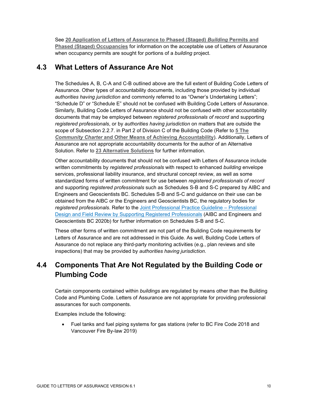See **20 [Application of Letters of Assurance to Phased](#page-41-0) (Staged)** *Building* **Permits and Phased (Staged) [Occupancies](#page-41-0)** for information on the acceptable use of Letters of Assurance when occupancy permits are sought for portions of a *building* project.

#### <span id="page-10-0"></span>**4.3 What Letters of Assurance Are Not**

The Schedules A, B, C-A and C-B outlined above are the full extent of Building Code Letters of Assurance. Other types of accountability documents, including those provided by individual *authorities having jurisdiction* and commonly referred to as "Owner's Undertaking Letters"; "Schedule D" or "Schedule E" should not be confused with Building Code Letters of Assurance. Similarly, Building Code Letters of Assurance should not be confused with other accountability documents that may be employed between *registered professionals of record* and supporting *registered professionals*, or by *authorities having jurisdiction* on matters that are outside the scope of Subsection 2.2.7. in Part 2 of Division C of the Building Code (Refer to **[5 The](#page-11-0)**  *Community Charter* **[and Other Means of Achieving Accountability](#page-11-0)**). Additionally, Letters of Assurance are not appropriate accountability documents for the author of an Alternative Solution. Refer to **23 [Alternative](#page-46-0) Solutions** for further information.

Other accountability documents that should not be confused with Letters of Assurance include written commitments by *registered professionals* with respect to enhanced *building* envelope services, professional liability insurance, and structural concept review, as well as some standardized forms of written commitment for use between *registered professionals of record*  and supporting *registered professionals* such as Schedules S-B and S-C prepared by AIBC and Engineers and Geoscientists BC. Schedules S-B and S-C and guidance on their use can be obtained from the AIBC or the Engineers and Geoscientists BC, the regulatory bodies for *registered professionals*. Refer to the [Joint Professional Practice Guideline –](https://aibc.ca/resources/aibc-resources/practice-guidelines/) Professional [Design and Field Review by Supporting Registered Professionals](https://aibc.ca/resources/aibc-resources/practice-guidelines/) (AIBC and Engineers and Geoscientists BC 2020b) for further information on Schedules S-B and S-C.

These other forms of written commitment are not part of the Building Code requirements for Letters of Assurance and are not addressed in this Guide. As well, Building Code Letters of Assurance do not replace any third-party monitoring activities (e.g., plan reviews and site inspections) that may be provided by *authorities having jurisdiction*.

### <span id="page-10-1"></span>**4.4 Components That Are Not Regulated by the Building Code or Plumbing Code**

Certain components contained within *buildings* are regulated by means other than the Building Code and Plumbing Code. Letters of Assurance are not appropriate for providing professional assurances for such components.

Examples include the following:

• Fuel tanks and fuel piping systems for gas stations (refer to BC Fire Code 2018 and Vancouver Fire By-law 2019)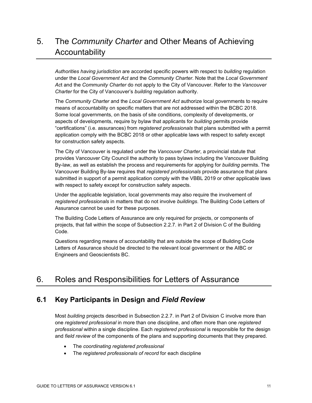# <span id="page-11-0"></span>5. The *Community Charter* and Other Means of Achieving Accountability

*Authorities having jurisdiction* are accorded specific powers with respect to *building* regulation under the *Local Government Act* and the *Community Charter*. Note that the *Local Government Ac*t and the *Community Charter* do not apply to the City of Vancouver. Refer to the *Vancouver Charter* for the City of Vancouver's *building* regulation authority.

The *Community Charter* and the *Local Government Act* authorize local governments to require means of accountability on specific matters that are not addressed within the BCBC 2018. Some local governments, on the basis of site conditions, complexity of developments, or aspects of developments, require by bylaw that applicants for *building* permits provide "certifications" (i.e. assurances) from *registered professionals* that plans submitted with a permit application comply with the BCBC 2018 or other applicable laws with respect to safety except for construction safety aspects.

The City of Vancouver is regulated under the *Vancouver Charter*, a provincial statute that provides Vancouver City Council the authority to pass bylaws including the Vancouver Building By-law, as well as establish the process and requirements for applying for *building* permits. The Vancouver Building By-law requires that *registered professionals* provide assurance that plans submitted in support of a permit application comply with the VBBL 2019 or other applicable laws with respect to safety except for construction safety aspects.

Under the applicable legislation, local governments may also require the involvement of *registered professionals* in matters that do not involve *buildings*. The Building Code Letters of Assurance cannot be used for these purposes.

The Building Code Letters of Assurance are only required for projects, or components of projects, that fall within the scope of Subsection 2.2.7. in Part 2 of Division C of the Building Code.

Questions regarding means of accountability that are outside the scope of Building Code Letters of Assurance should be directed to the relevant local government or the AIBC or Engineers and Geoscientists BC.

# <span id="page-11-1"></span>6. Roles and Responsibilities for Letters of Assurance

#### <span id="page-11-2"></span>**6.1 Key Participants in Design and** *Field Review*

Most *building* projects described in Subsection 2.2.7. in Part 2 of Division C involve more than one *registered professional* in more than one discipline, and often more than one *registered professional* within a single discipline. Each *registered professional* is responsible for the design and *field review* of the components of the plans and supporting documents that they prepared.

- The *coordinating registered professional*
- The *registered professionals of record* for each discipline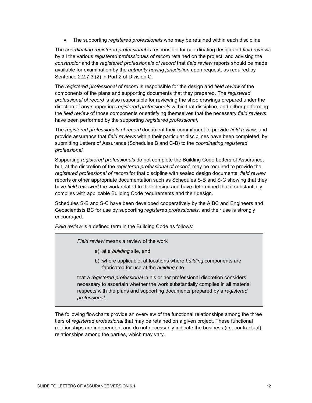• The supporting *registered professionals* who may be retained within each discipline

The *coordinating registered professional* is responsible for coordinating design and *field reviews* by all the various *registered professionals of record* retained on the project, and advising the *constructor* and the *registered professionals of record* that *field review* reports should be made available for examination by the *authority having jurisdiction* upon request, as required by Sentence 2.2.7.3.(2) in Part 2 of Division C.

The *registered professional of record* is responsible for the design and *field review* of the components of the plans and supporting documents that they prepared. The *registered professional of record* is also responsible for reviewing the shop drawings prepared under the direction of any supporting *registered professionals* within that discipline, and either performing the *field review* of those components or satisfying themselves that the necessary *field reviews* have been performed by the supporting *registered professional*.

The *registered professionals of record* document their commitment to provide *field review,* and provide assurance that *field reviews* within their particular disciplines have been completed, by submitting Letters of Assurance (Schedules B and C-B) to the *coordinating registered professional*.

Supporting *registered professionals* do not complete the Building Code Letters of Assurance, but, at the discretion of the *registered professional of record*, may be required to provide the *registered professional of record* for that discipline with sealed design documents, *field review* reports or other appropriate documentation such as Schedules S-B and S-C showing that they have *field reviewed* the work related to their design and have determined that it substantially complies with applicable Building Code requirements and their design.

Schedules S-B and S-C have been developed cooperatively by the AIBC and Engineers and Geoscientists BC for use by supporting *registered professionals*, and their use is strongly encouraged.

*Field review* is a defined term in the Building Code as follows:

*Field review* means a review of the work

- a) at a *building* site, and
- b) where applicable, at locations where *building* components are fabricated for use at the *building* site

that a *registered professional* in his or her professional discretion considers necessary to ascertain whether the work substantially complies in all material respects with the plans and supporting documents prepared by a *registered professional*.

The following flowcharts provide an overview of the functional relationships among the three tiers of *registered professional* that may be retained on a given project. These functional relationships are independent and do not necessarily indicate the business (i.e. contractual) relationships among the parties, which may vary.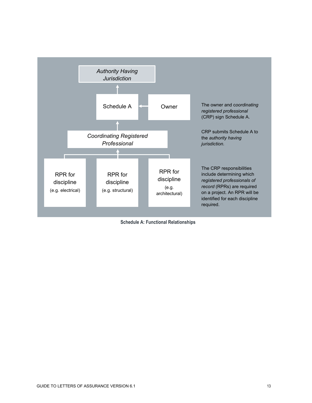

|  |  | <b>Schedule A: Functional Relationships</b> |
|--|--|---------------------------------------------|
|--|--|---------------------------------------------|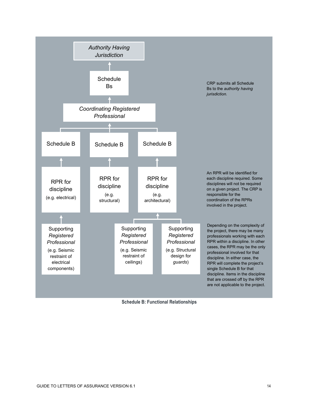

**Schedule B: Functional Relationships**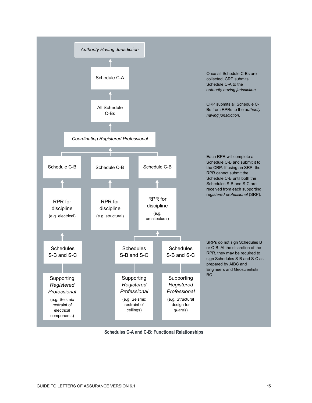

**Schedules C-A and C-B: Functional Relationships**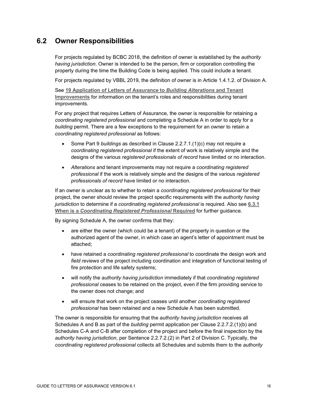#### <span id="page-16-0"></span>**6.2 Owner Responsibilities**

For projects regulated by BCBC 2018, the definition of owner is established by the *authority having jurisdiction*. Owner is intended to be the person, firm or corporation controlling the property during the time the Building Code is being applied. This could include a tenant.

For projects regulated by VBBL 2019, the definition of owner is in Article 1.4.1.2. of Division A.

See **19 [Application of Letters of Assurance to](#page-40-0)** *Building Alterations* **and Tenant [Improvements](#page-40-0)** for information on the tenant's roles and responsibilities during tenant improvements.

For any project that requires Letters of Assurance, the owner is responsible for retaining a *coordinating registered professional* and completing a Schedule A in order to apply for a *building* permit. There are a few exceptions to the requirement for an owner to retain a *coordinating registered professional* as follows:

- Some Part 9 *buildings* as described in Clause 2.2.7.1.(1)(c) may not require a *coordinating registered professional* if the extent of work is relatively simple and the designs of the various *registered professionals of record* have limited or no interaction.
- *Alterations* and tenant improvements may not require a *coordinating registered professional* if the work is relatively simple and the designs of the various *registered professionals of record* have limited or no interaction.

If an owner is unclear as to whether to retain a *coordinating registered professional* for their project, the owner should review the project specific requirements with the *authority having jurisdiction* to determine if a *coordinating registered professional* is required. Also see **[6.3.1](#page-18-0)  When is a** *[Coordinating Registered Professional](#page-18-0)* **Required** for further guidance.

By signing Schedule A, the owner confirms that they:

- are either the owner (which could be a tenant) of the property in question or the authorized agent of the owner, in which case an agent's letter of appointment must be attached;
- have retained a *coordinating registered professional* to coordinate the design work and *field reviews* of the project including coordination and integration of functional testing of fire protection and life safety systems;
- will notify the *authority having jurisdiction* immediately if that *coordinating registered professional* ceases to be retained on the project, even if the firm providing service to the owner does not change; and
- will ensure that work on the project ceases until another *coordinating registered professional* has been retained and a new Schedule A has been submitted.

The owner is responsible for ensuring that the *authority having jurisdiction* receives all Schedules A and B as part of the *building* permit application per Clause 2.2.7.2.(1)(b) and Schedules C-A and C-B after completion of the project and before the final inspection by the *authority having jurisdiction*, per Sentence 2.2.7.2.(2) in Part 2 of Division C. Typically, the *coordinating registered professional* collects all Schedules and submits them to the *authority*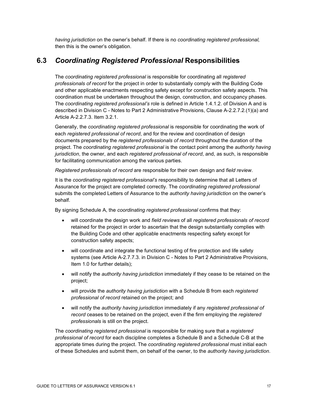*having jurisdiction* on the owner's behalf. If there is no *coordinating registered professional,* then this is the owner's obligation.

### <span id="page-17-0"></span>**6.3** *Coordinating Registered Professional* **Responsibilities**

The *coordinating registered professional* is responsible for coordinating all *registered professionals of record* for the project in order to substantially comply with the Building Code and other applicable enactments respecting safety except for construction safety aspects. This coordination must be undertaken throughout the design, construction, and occupancy phases. The *coordinating registered professional's* role is defined in Article 1.4.1.2. of Division A and is described in Division C - Notes to Part 2 Administrative Provisions, Clause A-2.2.7.2.(1)(a) and Article A-2.2.7.3. Item 3.2.1.

Generally, the *coordinating registered professional* is responsible for coordinating the work of each *registered professional of record*, and for the review and coordination of design documents prepared by the *registered professionals of record* throughout the duration of the project. The *coordinating registered professional* is the contact point among the *authority having jurisdiction*, the owner, and each *registered professional of record*, and, as such, is responsible for facilitating communication among the various parties.

*Registered professionals of record* are responsible for their own design and *field review*.

It is the *coordinating registered professional's* responsibility to determine that all Letters of Assurance for the project are completed correctly. The *coordinating registered professional* submits the completed Letters of Assurance to the *authority having jurisdiction* on the owner's behalf.

By signing Schedule A, the *coordinating registered professional* confirms that they:

- will coordinate the design work and *field reviews* of all *registered professionals of record* retained for the project in order to ascertain that the design substantially complies with the Building Code and other applicable enactments respecting safety except for construction safety aspects;
- will coordinate and integrate the functional testing of fire protection and life safety systems (see Article A-2.7.7.3. in Division C - Notes to Part 2 Administrative Provisions, Item 1.0 for further details);
- will notify the *authority having jurisdiction* immediately if they cease to be retained on the project;
- will provide the *authority having jurisdiction* with a Schedule B from each *registered professional of record* retained on the project; and
- will notify the *authority having jurisdiction* immediately if any *registered professional of record* ceases to be retained on the project, even if the firm employing the *registered professionals* is still on the project.

The *coordinating registered professional* is responsible for making sure that a *registered professional of record* for each discipline completes a Schedule B and a Schedule C-B at the appropriate times during the project. The *coordinating registered professional* must initial each of these Schedules and submit them, on behalf of the owner, to the *authority having jurisdiction*.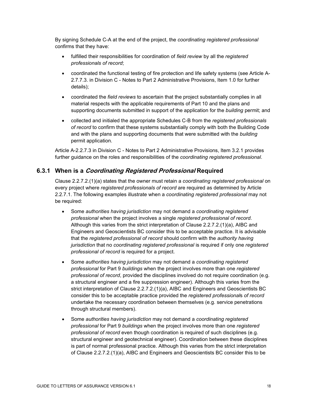By signing Schedule C-A at the end of the project, the *coordinating registered professional* confirms that they have:

- fulfilled their responsibilities for coordination of *field review* by all the *registered professionals of record*;
- coordinated the functional testing of fire protection and life safety systems (see Article A-2.7.7.3. in Division C - Notes to Part 2 Administrative Provisions, Item 1.0 for further details);
- coordinated the *field reviews* to ascertain that the project substantially complies in all material respects with the applicable requirements of Part 10 and the plans and supporting documents submitted in support of the application for the *building* permit; and
- collected and initialed the appropriate Schedules C-B from the *registered professionals of record* to confirm that these systems substantially comply with both the Building Code and with the plans and supporting documents that were submitted with the *building* permit application.

Article A-2.2.7.3 in Division C - Notes to Part 2 Administrative Provisions, Item 3.2.1 provides further guidance on the roles and responsibilities of the *coordinating registered professional*.

#### <span id="page-18-0"></span>**6.3.1 When is a Coordinating Registered Professional Required**

Clause 2.2.7.2.(1)(a) states that the owner must retain a *coordinating registered professional* on every project where *registered professionals of record* are required as determined by Article 2.2.7.1. The following examples illustrate when a *coordinating registered professional* may not be required:

- Some *authorities having jurisdiction* may not demand a *coordinating registered professional* when the project involves a single *registered professional of record*. Although this varies from the strict interpretation of Clause 2.2.7.2.(1)(a), AIBC and Engineers and Geoscientists BC consider this to be acceptable practice. It is advisable that the *registered professional of record* should confirm with the *authority having jurisdiction* that no *coordinating registered professional* is required if only one *registered professional of record* is required for a project.
- Some *authorities having jurisdiction* may not demand a *coordinating registered professional* for Part 9 *buildings* when the project involves more than one *registered professional of record*, provided the disciplines involved do not require coordination (e.g. a structural engineer and a fire suppression engineer). Although this varies from the strict interpretation of Clause 2.2.7.2.(1)(a), AIBC and Engineers and Geoscientists BC consider this to be acceptable practice provided the *registered professional*s *of record* undertake the necessary coordination between themselves (e.g. service penetrations through structural members).
- Some *authorities having jurisdiction* may not demand a *coordinating registered professional* for Part 9 *buildings* when the project involves more than one *registered professional of record* even though coordination is required of such disciplines (e.g. structural engineer and geotechnical engineer). Coordination between these disciplines is part of normal professional practice. Although this varies from the strict interpretation of Clause 2.2.7.2.(1)(a), AIBC and Engineers and Geoscientists BC consider this to be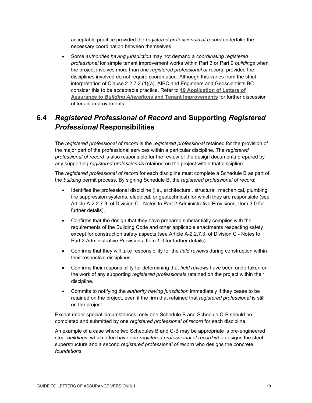acceptable practice provided the *registered professionals of record* undertake the necessary coordination between themselves.

• Some *authorities having jurisdiction* may not demand a *coordinating registered professional* for simple tenant improvement works within Part 3 or Part 9 *buildings* when the project involves more than one *registered professional of record*, provided the disciplines involved do not require coordination. Although this varies from the strict interpretation of Clause 2.2.7.2.(1)(a), AIBC and Engineers and Geoscientists BC consider this to be acceptable practice. Refer to **19 [Application of Letters of](#page-40-0)  Assurance to** *Building Alterations* **[and Tenant Improvements](#page-40-0)** for further discussion of tenant improvements.

### <span id="page-19-0"></span>**6.4** *Registered Professional of Record* **and Supporting** *Registered Professional* **Responsibilities**

The *registered professional of record* is the *registered professional* retained for the provision of the major part of the professional services within a particular discipline. The *registered professional of record* is also responsible for the review of the design documents prepared by any supporting *registered professionals* retained on the project within that discipline.

The *registered professional of record* for each discipline must complete a Schedule B as part of the *building* permit process. By signing Schedule B, the *registered professional of record*:

- Identifies the professional discipline (i.e., architectural, structural, mechanical, plumbing, fire suppression systems, electrical, or geotechnical) for which they are responsible (see Article A-2.2.7.3. of Division C - Notes to Part 2 Administrative Provisions, Item 3.0 for further details).
- Confirms that the design that they have prepared substantially complies with the requirements of the Building Code and other applicable enactments respecting safety except for construction safety aspects (see Article A-2.2.7.3. of Division C - Notes to Part 2 Administrative Provisions, Item 1.0 for further details).
- Confirms that they will take responsibility for the *field reviews* during construction within their respective disciplines.
- Confirms their responsibility for determining that *field reviews* have been undertaken on the work of any supporting *registered professionals* retained on the project within their discipline.
- Commits to notifying the *authority having jurisdiction* immediately if they cease to be retained on the project, even if the firm that retained that *registered professional* is still on the project.

Except under special circumstances, only one Schedule B and Schedule C-B should be completed and submitted by one *registered professional of record* for each discipline.

An example of a case where two Schedules B and C-B may be appropriate is pre-engineered steel *buildings*, which often have one *registered professional of record* who designs the steel superstructure and a second *registered professional of record* who designs the concrete *foundations*.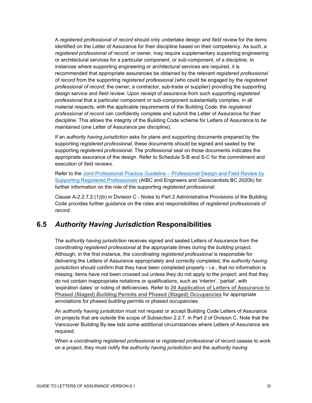A *registered professional of record* should only undertake design and *field review* for the items identified on the Letter of Assurance for their discipline based on their competency. As such, a *registered professional of record*, or owner, may require supplementary supporting engineering or architectural services for a particular component, or sub-component, of a discipline. In instances where supporting engineering or architectural services are required, it is recommended that appropriate assurances be obtained by the relevant *registered professional of record* from the supporting *registered professional* (who could be engaged by the *registered professional of record*; the owner; a contractor, sub-trade or supplier) providing the supporting design service and *field review*. Upon receipt of assurance from such supporting *registered professional* that a particular component or sub-component substantially complies, in all material respects, with the applicable requirements of the Building Code, the *registered professional of record* can confidently complete and submit the Letter of Assurance for their discipline. This allows the integrity of the Building Code scheme for Letters of Assurance to be maintained (one Letter of Assurance per discipline).

If an *authority having jurisdiction* asks for plans and supporting documents prepared by the supporting *registered professional*, these documents should be signed and sealed by the supporting *registered professional*. The professional seal on those documents indicates the appropriate assurance of the design. Refer to Schedule S-B and S-C for the commitment and execution of *field reviews*.

Refer to the Joint Professional Practice Guideline - Professional Design and Field Review by [Supporting Registered Professionals](https://www.egbc.ca/app/Practice-Resources/Individual-Practice/Guidelines-Advisories) (AIBC and Engineers and Geoscientists BC 2020b) for further information on the role of the supporting *registered professional*.

Clause A-2.2.7.2.(1)(b) in Division C - Notes to Part 2 Administrative Provisions of the Building Code provides further guidance on the roles and responsibilities of *registered professionals of record.*

### <span id="page-20-0"></span>**6.5** *Authority Having Jurisdiction* **Responsibilities**

The *authority having jurisdiction* receives signed and sealed Letters of Assurance from the *coordinating registered professional* at the appropriate times during the *building* project. Although, in the first instance, the *coordinating registered professional* is responsible for delivering the Letters of Assurance appropriately and correctly completed, the *authority having jurisdiction* should confirm that they have been completed properly - i.e., that no information is missing; items have not been crossed out unless they do not apply to the project; and that they do not contain inappropriate notations or qualifications, such as 'interim', 'partial', with 'expiration dates' or noting of deficiencies. Refer to **[20 Application of Letters of Assurance to](#page-41-0) Phased (Staged)** *Building* **[Permits and Phased](#page-41-0) (Staged) Occupancies** for appropriate annotations for phased *building* permits or phased occupancies.

An *authority having jurisdiction* must not request or accept Building Code Letters of Assurance on projects that are outside the scope of Subsection 2.2.7. in Part 2 of Division C. Note that the Vancouver Building By-law lists some additional circumstances where Letters of Assurance are required.

When a *coordinating registered professional* or *registered professional of record* ceases to work on a project, they must notify the *authority having jurisdiction* and the *authority having*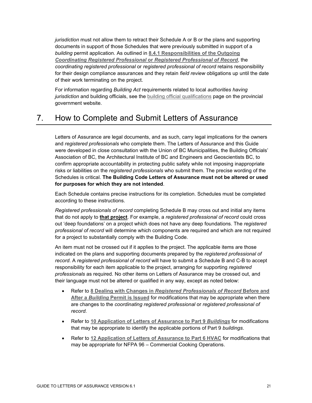*jurisdiction* must not allow them to retract their Schedule A or B or the plans and supporting documents in support of those Schedules that were previously submitted in support of a *building* permit application. As outlined in **[8.4.1 Responsibilities of the Outgoing](#page-26-2)**  *[Coordinating Registered Professional](#page-26-2)* **or** *Registered Professional of Record*, the *coordinating registered professional* or *registered professional of record* retains responsibility for their design compliance assurances and they retain *field review* obligations up until the date of their work terminating on the project.

For information regarding *Building Act* requirements related to local *authorities having jurisdiction* and building officials, see the [building official qualifications](https://www2.gov.bc.ca/gov/content/industry/construction-industry/building-codes-standards/building-act/building-official-qualifications) page on the provincial government website.

# <span id="page-21-0"></span>7. How to Complete and Submit Letters of Assurance

Letters of Assurance are legal documents, and as such, carry legal implications for the owners and *registered professionals* who complete them. The Letters of Assurance and this Guide were developed in close consultation with the Union of BC Municipalities, the Building Officials' Association of BC, the Architectural Institute of BC and Engineers and Geoscientists BC, to confirm appropriate accountability in protecting public safety while not imposing inappropriate risks or liabilities on the *registered professionals* who submit them. The precise wording of the Schedules is critical. **The Building Code Letters of Assurance must not be altered or used for purposes for which they are not intended**.

Each Schedule contains precise instructions for its completion. Schedules must be completed according to these instructions.

*Registered professionals of record* completing Schedule B may cross out and initial any items that do not apply to **that project**. For example, a *registered professional of record* could cross out 'deep foundations' on a project which does not have any deep foundations. The *registered professional of record* will determine which components are required and which are not required for a project to substantially comply with the Building Code.

An item must not be crossed out if it applies to the project. The applicable items are those indicated on the plans and supporting documents prepared by the *registered professional of record*. A *registered professional of record* will have to submit a Schedule B and C-B to accept responsibility for each item applicable to the project, arranging for supporting *registered professionals* as required. No other items on Letters of Assurance may be crossed out, and their language must not be altered or qualified in any way, except as noted below:

- Refer to **8 Dealing with Changes in** *[Registered Professionals of Record](#page-22-0)* **Before and After a** *Building* **[Permit is Issued](#page-22-0)** for modifications that may be appropriate when there are changes to the *coordinating registered professional* or *registered professional of record*.
- Refer to **[10 Application of Letters of Assurance to Part 9](#page-34-1)** *Buildings* for modifications that may be appropriate to identify the applicable portions of Part 9 *buildings*.
- Refer to **[12 Application of Letters of Assurance to Part 6 HVAC](#page-33-0)** for modifications that may be appropriate for NFPA 96 – Commercial Cooking Operations.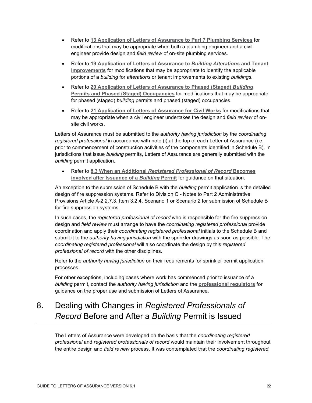- Refer to **[13 Application of Letters of Assurance to Part 7 Plumbing Services](#page-34-0)** for modifications that may be appropriate when both a plumbing engineer and a civil engineer provide design and *field review* of on-site plumbing services.
- Refer to **[19 Application of Letters of Assurance to](#page-40-0)** *Building Alterations* **and Tenant [Improvements](#page-40-0)** for modifications that may be appropriate to identify the applicable portions of a *building* for *alterations* or tenant improvements to existing *buildings*.
- Refer to **[20 Application of Letters of Assurance to Phased](#page-41-0) (Staged)** *Building* **[Permits and Phased](#page-41-0) (Staged) Occupancies** for modifications that may be appropriate for phased (staged) *building* permits and phased (staged) occupancies.
- Refer to **[21 Application of Letters of Assurance for Civil Works](#page-44-0)** for modifications that may be appropriate when a civil engineer undertakes the design and *field review* of onsite civil works.

Letters of Assurance must be submitted to the *authority having jurisdiction* by the *coordinating registered professional* in accordance with note (i) at the top of each Letter of Assurance (i.e. prior to commencement of construction activities of the components identified in Schedule B). In jurisdictions that issue *building* permits, Letters of Assurance are generally submitted with the *building* permit application.

• Refer to **8.3 When an Additional** *[Registered Professional of Record](#page-26-0)* **Becomes [involved after Issuance of a](#page-26-0)** *Building* **Permit** for guidance on that situation.

An exception to the submission of Schedule B with the *building* permit application is the detailed design of fire suppression systems. Refer to Division C - Notes to Part 2 Administrative Provisions Article A-2.2.7.3. Item 3.2.4. Scenario 1 or Scenario 2 for submission of Schedule B for fire suppression systems.

In such cases, the *registered professional of record* who is responsible for the fire suppression design and *field review* must arrange to have the *coordinating registered professional* provide coordination and apply their *coordinating registered professional* initials to the Schedule B and submit it to the *authority having jurisdiction* with the sprinkler drawings as soon as possible. The *coordinating registered professional* will also coordinate the design by this *registered professional of record* with the other disciplines.

Refer to the *authority having jurisdiction* on their requirements for sprinkler permit application processes.

For other exceptions, including cases where work has commenced prior to issuance of a *building* permit, contact the *authority having jurisdiction* and the **[professional regulators](#page-4-0)** for guidance on the proper use and submission of Letters of Assurance.

# <span id="page-22-0"></span>8. Dealing with Changes in *Registered Professionals of Record* Before and After a *Building* Permit is Issued

The Letters of Assurance were developed on the basis that the *coordinating registered professional* and *registered professionals of record* would maintain their involvement throughout the entire design and *field review* process. It was contemplated that the *coordinating registered*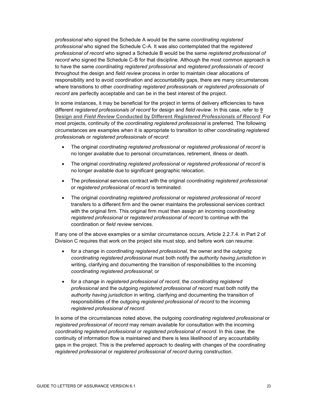*professional* who signed the Schedule A would be the same *coordinating registered professional* who signed the Schedule C-A. It was also contemplated that the *registered professional of record* who signed a Schedule B would be the same *registered professional of record* who signed the Schedule C-B for that discipline. Although the most common approach is to have the same *coordinating registered professional* and *registered professionals of record* throughout the design and *field review* process in order to maintain clear allocations of responsibility and to avoid coordination and accountability gaps, there are many circumstances where transitions to other *coordinating registered professional*s or *registered professionals of record* are perfectly acceptable and can be in the best interest of the project.

In some instances, it may be beneficial for the project in terms of delivery efficiencies to have different *registered professionals of record* for design and *field review*. In this case, refer to **[9](#page-30-0)  Design and** *Field Review* **Conducted by Different** *[Registered Professionals of Record](#page-30-0)*. For most projects, continuity of the *coordinating registered professional* is preferred. The following circumstances are examples when it is appropriate to transition to other *coordinating registered professional*s or *registered professionals of record*:

- The original *coordinating registered professional* or *registered professional of record* is no longer available due to personal circumstances, retirement, illness or death.
- The original *coordinating registered professional* or *registered professional of record* is no longer available due to significant geographic relocation.
- The professional services contract with the original *coordinating registered professional* or *registered professional of record* is terminated.
- The original *coordinating registered professional* or *registered professional of record* transfers to a different firm and the owner maintains the professional services contract with the original firm. This original firm must then assign an incoming *coordinating registered professional* or *registered professional of record* to continue with the coordination or *field review* services.

If any one of the above examples or a similar circumstance occurs, Article 2.2.7.4. in Part 2 of Division C requires that work on the project site must stop, and before work can resume:

- for a change in *coordinating registered professional*, the owner and the *outgoing coordinating registered professional* must both notify the *authority having jurisdiction* in writing, clarifying and documenting the transition of responsibilities to the incoming *coordinating registered professional*; or
- for a change in *registered professional of record*, the *coordinating registered professional* and the outgoing *registered professional of record* must both notify the *authority having jurisdiction* in writing, clarifying and documenting the transition of responsibilities of the outgoing *registered professional of record* to the incoming *registered professional of record*.

In some of the circumstances noted above, the outgoing *coordinating registered professional* or *registered professional of record* may remain available for consultation with the incoming *coordinating registered professional* or *registered professional of record*. In this case, the continuity of information flow is maintained and there is less likelihood of any accountability gaps in the project. This is the preferred approach to dealing with changes of the *coordinating registered professional* or *registered professional of record* during construction.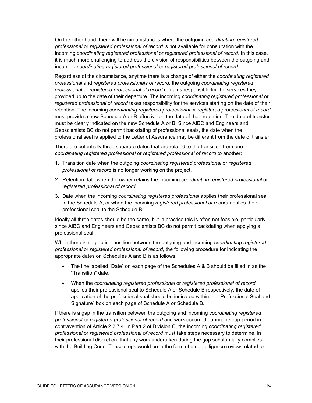On the other hand, there will be circumstances where the outgoing *coordinating registered professional* or *registered professional of record* is not available for consultation with the incoming *coordinating registered professional* or *registered professional of record*. In this case, it is much more challenging to address the division of responsibilities between the outgoing and incoming *coordinating registered professional* or *registered professional of record*.

Regardless of the circumstance, anytime there is a change of either the *coordinating registered professional* and *registered professionals of record*, the outgoing *coordinating registered professional* or *registered professional of record* remains responsible for the services they provided up to the date of their departure. The incoming *coordinating registered professional* or *registered professional of record* takes responsibility for the services starting on the date of their retention. The incoming *coordinating registered professional* or *registered professional of record* must provide a new Schedule A or B effective on the date of their retention. The date of transfer must be clearly indicated on the new Schedule A or B. Since AIBC and Engineers and Geoscientists BC do not permit backdating of professional seals, the date when the professional seal is applied to the Letter of Assurance may be different from the date of transfer.

There are potentially three separate dates that are related to the transition from one *coordinating registered professional* or *registered professional of record* to another:

- 1. Transition date when the outgoing *coordinating registered professional* or *registered professional of record* is no longer working on the project.
- 2. Retention date when the owner retains the incoming *coordinating registered professional* or *registered professional of record.*
- 3. Date when the incoming *coordinating registered professional* applies their professional seal to the Schedule A, or when the incoming *registered professional of record* applies their professional seal to the Schedule B.

Ideally all three dates should be the same, but in practice this is often not feasible, particularly since AIBC and Engineers and Geoscientists BC do not permit backdating when applying a professional seal.

When there is no gap in transition between the outgoing and incoming *coordinating registered professional* or *registered professional of record*, the following procedure for indicating the appropriate dates on Schedules A and B is as follows:

- The line labelled "Date" on each page of the Schedules A & B should be filled in as the "Transition" date.
- When the *coordinating registered professional* or *registered professional of record* applies their professional seal to Schedule A or Schedule B respectively, the date of application of the professional seal should be indicated within the "Professional Seal and Signature" box on each page of Schedule A or Schedule B.

If there is a gap in the transition between the outgoing and incoming *coordinating registered professional* or *registered professional of record* and work occurred during the gap period in contravention of Article 2.2.7.4. in Part 2 of Division C, the incoming *coordinating registered professional* or *registered professional of record* must take steps necessary to determine, in their professional discretion, that any work undertaken during the gap substantially complies with the Building Code. These steps would be in the form of a due diligence review related to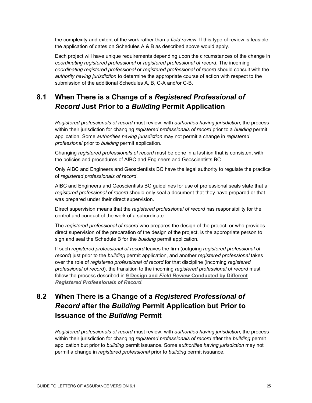the complexity and extent of the work rather than a *field review*. If this type of review is feasible, the application of dates on Schedules A & B as described above would apply.

Each project will have unique requirements depending upon the circumstances of the change in *coordinating registered professional* or *registered professional of record*. The incoming *coordinating registered professional* or *registered professional of record* should consult with the *authority having jurisdiction* to determine the appropriate course of action with respect to the submission of the additional Schedules A, B, C-A and/or C-B.

### <span id="page-25-0"></span>**8.1 When There is a Change of a** *Registered Professional of Record* **Just Prior to a** *Building* **Permit Application**

*Registered professionals of record* must review, with *authorities having jurisdiction,* the process within their jurisdiction for changing *registered professionals of record* prior to a *building* permit application. Some *authorities having jurisdiction* may not permit a change in *registered professional* prior to *building* permit application.

Changing *registered professionals of record* must be done in a fashion that is consistent with the policies and procedures of AIBC and Engineers and Geoscientists BC.

Only AIBC and Engineers and Geoscientists BC have the legal authority to regulate the practice of *registered professionals of record*.

AIBC and Engineers and Geoscientists BC guidelines for use of professional seals state that a *registered professional of record* should only seal a document that they have prepared or that was prepared under their direct supervision.

Direct supervision means that the *registered professional of record* has responsibility for the control and conduct of the work of a subordinate.

The *registered professional of record* who prepares the design of the project, or who provides direct supervision of the preparation of the design of the project, is the appropriate person to sign and seal the Schedule B for the *building* permit application.

If such *registered professional of record* leaves the firm (outgoing *registered professional of record*) just prior to the *building* permit application, and another *registered professional* takes over the role of *registered professional of reco*r*d* for that discipline (incoming *registered professional of record*), the transition to the incoming *registered professional of record* must follow the process described in **9 Design and** *Field Review* **[Conducted by Different](#page-30-0)**  *[Registered Professionals of Record](#page-30-0)*.

# <span id="page-25-1"></span>**8.2 When There is a Change of a** *Registered Professional of Record* **after the** *Building* **Permit Application but Prior to Issuance of the** *Building* **Permit**

*Registered professionals of record* must review, with *authorities having jurisdiction,* the process within their jurisdiction for changing *registered professionals of record* after the *building* permit application but prior to *building* permit issuance. Some *authorities having jurisdiction* may not permit a change in *registered professional* prior to *building* permit issuance.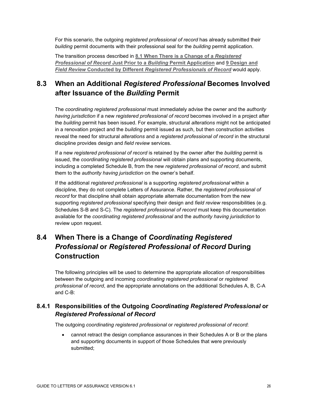For this scenario, the outgoing *registered professional of record* has already submitted their *building* permit documents with their professional seal for the *building* permit application.

The transition process described in **[8.1 When There is a Change of a](#page-25-0)** *Registered [Professional of Record](#page-25-0)* **Just Prior to a** *Building* **Permit Application** and **9 [Design and](#page-30-0)**  *Field Review* **Conducted by Different** *[Registered Professionals of Record](#page-30-0)* would apply.

### <span id="page-26-0"></span>**8.3 When an Additional** *Registered Professional* **Becomes Involved after Issuance of the** *Building* **Permit**

The *coordinating registered professional* must immediately advise the owner and the *authority having jurisdiction* if a new *registered professional of record* becomes involved in a project after the *building* permit has been issued. For example, structural *alterations* might not be anticipated in a renovation project and the *building* permit issued as such, but then construction activities reveal the need for structural *alterations* and a *registered professional of record* in the structural discipline provides design and *field review* services.

If a new *registered professional of record* is retained by the owner after the *building* permit is issued, the *coordinating registered professional* will obtain plans and supporting documents, including a completed Schedule B, from the new *registered professional of record*, and submit them to the *authority having jurisdiction* on the owner's behalf.

If the additional *registered professional* is a supporting *registered professional* within a discipline, they do not complete Letters of Assurance. Rather, the *registered professional of record* for that discipline shall obtain appropriate alternate documentation from the new supporting *registered professional* specifying their design and *field review* responsibilities (e.g. Schedules S-B and S-C). The *registered professional of record* must keep this documentation available for the *coordinating registered professional* and the *authority having jurisdiction* to review upon request.

# <span id="page-26-1"></span>**8.4 When There is a Change of** *Coordinating Registered Professional* **or** *Registered Professional of Record* **During Construction**

The following principles will be used to determine the appropriate allocation of responsibilities between the outgoing and incoming *coordinating registered professional* or *registered professional of record*, and the appropriate annotations on the additional Schedules A, B, C-A and C-B:

#### <span id="page-26-2"></span>**8.4.1 Responsibilities of the Outgoing** *Coordinating Registered Professional* **or**  *Registered Professional of Record*

The outgoing *coordinating registered professional* or *registered professional of record*:

• cannot retract the design compliance assurances in their Schedules A or B or the plans and supporting documents in support of those Schedules that were previously submitted;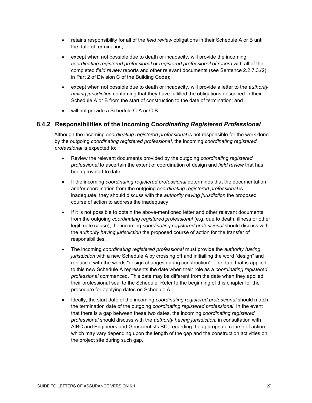- retains responsibility for all of the *field review* obligations in their Schedule A or B until the date of termination;
- except when not possible due to death or incapacity, will provide the incoming *coordinating registered professional* or *registered professional of record* with all of the completed *field review* reports and other relevant documents (see Sentence 2.2.7.3.(2) in Part 2 of Division C of the Building Code);
- except when not possible due to death or incapacity, will provide a letter to the *authority having jurisdiction* confirming that they have fulfilled the obligations described in their Schedule A or B from the start of construction to the date of termination; and
- will not provide a Schedule C-A or C-B.

#### <span id="page-27-0"></span>**8.4.2 Responsibilities of the Incoming** *Coordinating Registered Professional*

Although the incoming *coordinating registered professional* is not responsible for the work done by the outgoing *coordinating registered professional*, the incoming *coordinating registered professional* is expected to:

- Review the relevant documents provided by the outgoing *coordinating registered professional* to ascertain the extent of coordination of design and *field review* that has been provided to date.
- If the incoming *coordinating registered professional* determines that the documentation and/or coordination from the outgoing *coordinating registered professional* is inadequate, they should discuss with the *authority having jurisdiction* the proposed course of action to address the inadequacy.
- If it is not possible to obtain the above-mentioned letter and other relevant documents from the outgoing *coordinating registered professional* (e.g. due to death, illness or other legitimate cause), the incoming *coordinating registered professional* should discuss with the *authority having jurisdiction* the proposed course of action for the transfer of responsibilities.
- The incoming *coordinating registered professional* must provide the *authority having jurisdiction* with a new Schedule A by crossing off and initialling the word "design" and replace it with the words "design changes during construction". The date that is applied to this new Schedule A represents the date when their role as a *coordinating registered professional* commenced. This date may be different from the date when they applied their professional seal to the Schedule. Refer to the beginning of this chapter for the procedure for applying dates on Schedule A.
- Ideally, the start date of the incoming *coordinating registered professional* should match the termination date of the outgoing *coordinating registered professional*. In the event that there is a gap between these two dates, the incoming *coordinating registered professional* should discuss with the *authority having jurisdiction,* in consultation with AIBC and Engineers and Geoscientists BC, regarding the appropriate course of action, which may vary depending upon the length of the gap and the construction activities on the project site during such gap.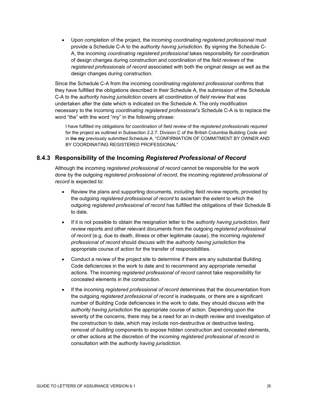• Upon completion of the project, the incoming *coordinating registered professional* must provide a Schedule C-A to the *authority having jurisdiction*. By signing the Schedule C-A, the incoming *coordinating registered professional* takes responsibility for coordination of design changes during construction and coordination of the *field reviews* of the *registered professionals of record* associated with both the original design as well as the design changes during construction.

Since the Schedule C-A from the incoming *coordinating registered professional* confirms that they have fulfilled the obligations described in their Schedule A, the submission of the Schedule C-A to the *authority having jurisdiction* covers all coordination of *field review* that was undertaken after the date which is indicated on the Schedule A. The only modification necessary to the incoming *coordinating registered professional's* Schedule C-A is to replace the word "the" with the word "my" in the following phrase:

I have fulfilled my obligations for coordination of *field review* of the *registered professionals required* for the project as outlined in Subsection 2.2.7. Division C of the British Columbia Building Code and in the **my** previously submitted Schedule A, "CONFIRMATION OF COMMITMENT BY OWNER AND BY COORDINATING REGISTERED PROFESSIONAL"

#### <span id="page-28-0"></span>**8.4.3 Responsibility of the Incoming** *Registered Professional of Record*

Although the incoming *registered professional of record* cannot be responsible for the work done by the outgoing *registered professional of record*, the incoming *registered professional of record* is expected to:

- Review the plans and supporting documents, including *field review* reports, provided by the outgoing *registered professional of record* to ascertain the extent to which the outgoing *registered professional of record* has fulfilled the obligations of their Schedule B to date.
- If it is not possible to obtain the resignation letter to the *authority having jurisdiction*, *field review* reports and other relevant documents from the outgoing *registered professional of record* (e.g. due to death, illness or other legitimate cause), the incoming *registered professional of record* should discuss with the *authority having jurisdiction* the appropriate course of action for the transfer of responsibilities.
- Conduct a review of the project site to determine if there are any substantial Building Code deficiencies in the work to date and to recommend any appropriate remedial actions. The incoming *registered professional of record* cannot take responsibility for concealed elements in the construction.
- If the incoming *registered professional of record* determines that the documentation from the outgoing *registered professional of record* is inadequate, or there are a significant number of Building Code deficiencies in the work to date, they should discuss with the *authority having jurisdiction* the appropriate course of action. Depending upon the severity of the concerns, there may be a need for an in-depth review and investigation of the construction to date, which may include non-destructive or destructive testing, removal of *building* components to expose hidden construction and concealed elements, or other actions at the discretion of the incoming *registered professional of record* in consultation with the *authority having jurisdiction*.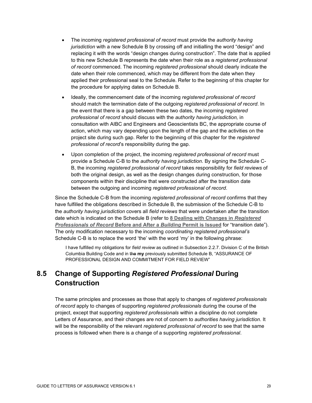- The incoming *registered professional of record* must provide the *authority having jurisdiction* with a new Schedule B by crossing off and initialling the word "design" and replacing it with the words "design changes during construction". The date that is applied to this new Schedule B represents the date when their role as a *registered professional of record* commenced. The incoming *registered professional* should clearly indicate the date when their role commenced, which may be different from the date when they applied their professional seal to the Schedule. Refer to the beginning of this chapter for the procedure for applying dates on Schedule B.
- Ideally, the commencement date of the incoming *registered professional of record* should match the termination date of the outgoing *registered professional of record*. In the event that there is a gap between these two dates, the incoming *registered professional of record* should discuss with the *authority having jurisdiction,* in consultation with AIBC and Engineers and Geoscientists BC, the appropriate course of action, which may vary depending upon the length of the gap and the activities on the project site during such gap. Refer to the beginning of this chapter for the *registered professional of record*'s responsibility during the gap.
- Upon completion of the project, the incoming *registered professional of record* must provide a Schedule C-B to the *authority having jurisdiction*. By signing the Schedule C-B, the incoming *registered professional of record* takes responsibility for *field reviews* of both the original design, as well as the design changes during construction, for those components within their discipline that were constructed after the transition date between the outgoing and incoming *registered professional of record*.

Since the Schedule C-B from the incoming *registered professional of record* confirms that they have fulfilled the obligations described in Schedule B, the submission of the Schedule C-B to the *authority having jurisdiction* covers all *field reviews* that were undertaken after the transition date which is indicated on the Schedule B (refer to **8 [Dealing with Changes in](#page-22-0)** *Registered [Professionals of Record](#page-22-0)* **Before and After a** *Building* **Permit is Issued** for "transition date"). The only modification necessary to the incoming *coordinating registered professional's* Schedule C-B is to replace the word 'the' with the word 'my' in the following phrase:

I have fulfilled my obligations for *field review* as outlined in Subsection 2.2.7. Division C of the British Columbia Building Code and in the **my** previously submitted Schedule B, "ASSURANCE OF PROFESSIONAL DESIGN AND COMMITMENT FOR FIELD REVIEW"

### <span id="page-29-0"></span>**8.5 Change of Supporting** *Registered Professional* **During Construction**

The same principles and processes as those that apply to changes of *registered professionals of record* apply to changes of supporting *registered professionals* during the course of the project, except that supporting *registered professionals* within a discipline do not complete Letters of Assurance, and their changes are not of concern to *authorities having jurisdiction*. It will be the responsibility of the relevant *registered professional of record* to see that the same process is followed when there is a change of a supporting *registered professional*.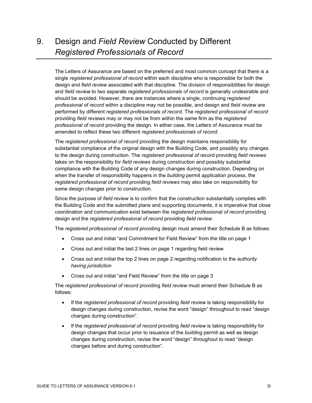# <span id="page-30-0"></span>9. Design and *Field Review* Conducted by Different *Registered Professionals of Record*

The Letters of Assurance are based on the preferred and most common concept that there is a single *registered professional of record* within each discipline who is responsible for both the design and *field review* associated with that discipline. The division of responsibilities for design and *field review* to two separate *registered professionals of record* is generally undesirable and should be avoided. However, there are instances where a single, continuing *registered professional of record* within a discipline may not be possible, and design and *field review* are performed by different *registered professionals of record*. The *registered professional of record* providing *field reviews* may or may not be from within the same firm as the *registered professional of record* providing the design. In either case, the Letters of Assurance must be amended to reflect these two different *registered professionals of record*.

The *registered professional of record* providing the design maintains responsibility for substantial compliance of the original design with the Building Code, and possibly any changes to the design during construction. The *registered professional of record* providing *field reviews* takes on the responsibility for *field reviews* during construction and possibly substantial compliance with the Building Code of any design changes during construction. Depending on when the transfer of responsibility happens in the *building* permit application process, the *registered professional of record* providing *field reviews* may also take on responsibility for some design changes prior to construction.

Since the purpose of *field review* is to confirm that the construction substantially complies with the Building Code and the submitted plans and supporting documents, it is imperative that close coordination and communication exist between the *registered professional of record* providing design and the *registered professional of record* providing *field review*.

The *registered professional of record* providing design must amend their Schedule B as follows:

- Cross out and initial "and Commitment for Field Review" from the title on page 1
- Cross out and initial the last 2 lines on page 1 regarding field review
- Cross out and initial the top 2 lines on page 2 regarding notification to the *authority having jurisdiction*
- Cross out and initial "and Field Review" from the title on page 3

The *registered professional of record* providing *field review* must amend their Schedule B as follows:

- If the *registered professional of record* providing *field review* is taking responsibility for design changes during construction, revise the word "design" throughout to read "design changes during construction".
- If the *registered professional of record* providing *field review* is taking responsibility for design changes that occur prior to issuance of the *building* permit as well as design changes during construction, revise the word "design" throughout to read "design changes before and during construction".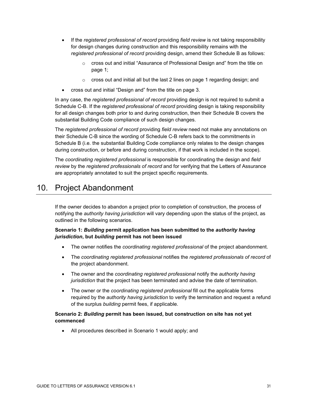- If the *registered professional of record* providing *field review* is not taking responsibility for design changes during construction and this responsibility remains with the *registered professional of record* providing design, amend their Schedule B as follows:
	- o cross out and initial "Assurance of Professional Design and" from the title on page 1;
	- $\circ$  cross out and initial all but the last 2 lines on page 1 regarding design; and
- cross out and initial "Design and" from the title on page 3.

In any case, the *registered professional of record* providing design is not required to submit a Schedule C-B. If the *registered professional of record* providing design is taking responsibility for all design changes both prior to and during construction, then their Schedule B covers the substantial Building Code compliance of such design changes.

The *registered professional of record* providing *field review* need not make any annotations on their Schedule C-B since the wording of Schedule C-B refers back to the commitments in Schedule B (i.e. the substantial Building Code compliance only relates to the design changes during construction, or before and during construction, if that work is included in the scope).

The *coordinating registered professional* is responsible for coordinating the design and *field review* by the *registered professionals of record* and for verifying that the Letters of Assurance are appropriately annotated to suit the project specific requirements.

# <span id="page-31-0"></span>10. Project Abandonment

If the owner decides to abandon a project prior to completion of construction, the process of notifying the *authority having jurisdiction* will vary depending upon the status of the project, as outlined in the following scenarios.

#### **Scenario 1:** *Building* **permit application has been submitted to the** *authority having jurisdiction***, but** *building* **permit has not been issued**

- The owner notifies the *coordinating registered professional* of the project abandonment.
- The *coordinating registered professional* notifies the *registered professionals of record* of the project abandonment.
- The owner and the *coordinating registered professional* notify the *authority having jurisdiction* that the project has been terminated and advise the date of termination.
- The owner or the *coordinating registered professional* fill out the applicable forms required by the *authority having jurisdiction* to verify the termination and request a refund of the surplus *building* permit fees, if applicable.

#### **Scenario 2:** *Building* **permit has been issued, but construction on site has not yet commenced**

• All procedures described in Scenario 1 would apply; and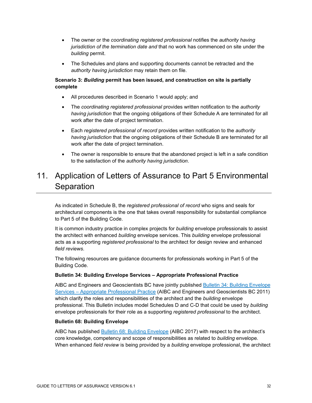- The owner or the *coordinating registered professional* notifies the *authority having jurisdiction of the termination date and* that no work has commenced on site under the *building* permit.
- The Schedules and plans and supporting documents cannot be retracted and the *authority having jurisdiction* may retain them on file.

#### **Scenario 3:** *Building* **permit has been issued, and construction on site is partially complete**

- All procedures described in Scenario 1 would apply; and
- The *coordinating registered professional* provides written notification to the *authority having jurisdiction* that the ongoing obligations of their Schedule A are terminated for all work after the date of project termination.
- Each *registered professional of record* provides written notification to the *authority having jurisdiction* that the ongoing obligations of their Schedule B are terminated for all work after the date of project termination.
- The owner is responsible to ensure that the abandoned project is left in a safe condition to the satisfaction of the *authority having jurisdiction*.

# <span id="page-32-0"></span>11. Application of Letters of Assurance to Part 5 Environmental Separation

As indicated in Schedule B, the *registered professional of record* who signs and seals for architectural components is the one that takes overall responsibility for substantial compliance to Part 5 of the Building Code.

It is common industry practice in complex projects for *building* envelope professionals to assist the architect with enhanced *building* envelope services. This *building* envelope professional acts as a supporting *registered professional* to the architect for design review and enhanced *field reviews*.

The following resources are guidance documents for professionals working in Part 5 of the Building Code.

#### **Bulletin 34: Building Envelope Services – Appropriate Professional Practice**

AIBC and Engineers and Geoscientists BC have jointly published [Bulletin 34: Building Envelope](https://aibc.ca/about/regulatory-authority/bulletins/)  Services – [Appropriate Professional Practice](https://aibc.ca/about/regulatory-authority/bulletins/) (AIBC and Engineers and Geoscientists BC 2011) which clarify the roles and responsibilities of the architect and the *building* envelope professional. This Bulletin includes model Schedules D and C-D that could be used by *building* envelope professionals for their role as a supporting *registered professional* to the architect.

#### **Bulletin 68: Building Envelope**

AIBC has published [Bulletin 68: Building Envelope](https://aibc.ca/about/regulatory-authority/bulletins/) (AIBC 2017) with respect to the architect's core knowledge, competency and scope of responsibilities as related to *building* envelope. When enhanced *field review* is being provided by a *building* envelope professional, the architect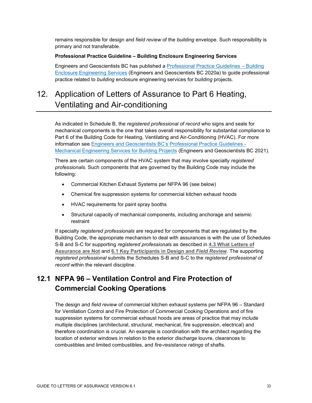remains responsible for design and *field review* of the *building* envelope. Such responsibility is primary and not transferable.

#### **Professional Practice Guideline – Building Enclosure Engineering Services**

Engineers and Geoscientists BC has published a [Professional Practice Guidelines –](https://www.egbc.ca/app/Practice-Resources/Individual-Practice/Guidelines-Advisories) Building [Enclosure Engineering Services](https://www.egbc.ca/app/Practice-Resources/Individual-Practice/Guidelines-Advisories) (Engineers and Geoscientists BC 2020a) to guide professional practice related to *building* enclosure engineering services for *building* projects.

# <span id="page-33-0"></span>12. Application of Letters of Assurance to Part 6 Heating, Ventilating and Air-conditioning

As indicated in Schedule B, the *registered professional of record* who signs and seals for mechanical components is the one that takes overall responsibility for substantial compliance to Part 6 of the Building Code for Heating, Ventilating and Air-Conditioning (HVAC). For more information see [Engineers and Geoscientists BC's Professional Practice Guidelines -](https://www.egbc.ca/app/Practice-Resources/Individual-Practice/Guidelines-Advisories) [Mechanical Engineering Services for Building Projects](https://www.egbc.ca/app/Practice-Resources/Individual-Practice/Guidelines-Advisories) (Engineers and Geoscientists BC 2021).

There are certain components of the HVAC system that may involve specialty *registered professionals*. Such components that are governed by the Building Code may include the following:

- Commercial Kitchen Exhaust Systems per NFPA 96 (see below)
- Chemical fire suppression systems for commercial kitchen exhaust hoods
- HVAC requirements for paint spray booths
- Structural capacity of mechanical components, including anchorage and seismic restraint

If specialty *registered professionals* are required for components that are regulated by the Building Code, the appropriate mechanism to deal with assurances is with the use of Schedules S-B and S-C for supporting *registered professionals* as described in **4.3 [What Letters of](#page-10-0)  [Assurance are Not](#page-10-0)** and **[6.1 Key Participants](#page-11-2) in Design and** *Field Review*. The supporting *registered professional* submits the Schedules S-B and S-C to the *registered professional of record* within the relevant discipline.

### <span id="page-33-1"></span>**12.1 NFPA 96 – Ventilation Control and Fire Protection of Commercial Cooking Operations**

The design and *field review* of commercial kitchen exhaust systems per NFPA 96 – Standard for Ventilation Control and Fire Protection of Commercial Cooking Operations and of fire suppression systems for commercial exhaust hoods are areas of practice that may include multiple disciplines (architectural, structural, mechanical, fire suppression, electrical) and therefore coordination is crucial. An example is coordination with the architect regarding the location of exterior windows in relation to the exterior discharge louvre, clearances to combustibles and limited combustibles, and *fire-resistance ratings* of shafts.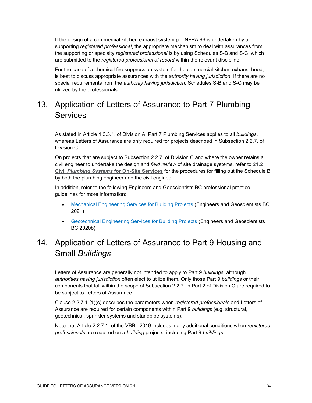If the design of a commercial kitchen exhaust system per NFPA 96 is undertaken by a supporting *registered professional*, the appropriate mechanism to deal with assurances from the supporting or specialty *registered professional* is by using Schedules S-B and S-C, which are submitted to the *registered professional of record* within the relevant discipline.

For the case of a chemical fire suppression system for the commercial kitchen exhaust hood, it is best to discuss appropriate assurances with the *authority having jurisdiction*. If there are no special requirements from the *authority having jurisdiction*, Schedules S-B and S-C may be utilized by the professionals.

# <span id="page-34-0"></span>13. Application of Letters of Assurance to Part 7 Plumbing **Services**

As stated in Article 1.3.3.1. of Division A, Part 7 Plumbing Services applies to all *buildings*, whereas Letters of Assurance are only required for projects described in Subsection 2.2.7. of Division C.

On projects that are subject to Subsection 2.2.7. of Division C and where the owner retains a civil engineer to undertake the design and *field review* of site drainage systems, refer to **[21.2](#page-44-2) Civil** *Plumbing Systems* **[for On-Site Services](#page-44-2)** for the procedures for filling out the Schedule B by both the plumbing engineer and the civil engineer.

In addition, refer to the following Engineers and Geoscientists BC professional practice guidelines for more information:

- [Mechanical Engineering Services for Building Projects](https://www.egbc.ca/app/Practice-Resources/Individual-Practice/Guidelines-Advisories) (Engineers and Geoscientists BC 2021)
- [Geotechnical Engineering Services for Building Projects](https://www.egbc.ca/app/Practice-Resources/Individual-Practice/Guidelines-Advisories) (Engineers and Geoscientists BC 2020b)

# <span id="page-34-1"></span>14. Application of Letters of Assurance to Part 9 Housing and Small *Buildings*

Letters of Assurance are generally not intended to apply to Part 9 *buildings*, although *authorities having jurisdiction* often elect to utilize them. Only those Part 9 *buildings* or their components that fall within the scope of Subsection 2.2.7. in Part 2 of Division C are required to be subject to Letters of Assurance.

Clause 2.2.7.1.(1)(c) describes the parameters when *registered professionals* and Letters of Assurance are required for certain components within Part 9 *buildings* (e.g. structural, geotechnical, sprinkler systems and standpipe systems).

Note that Article 2.2.7.1. of the VBBL 2019 includes many additional conditions when *registered professionals* are required on a *building* projects, including Part 9 *buildings.*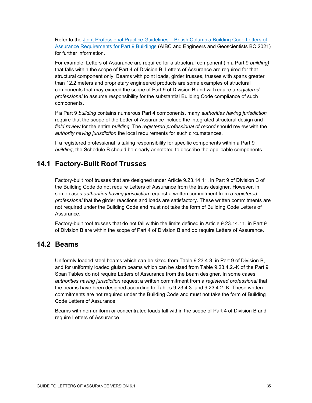Refer to the Joint Professional Practice Guidelines – [British Columbia Building Code Letters of](https://www.egbc.ca/app/Practice-Resources/Individual-Practice/Guidelines-Advisories)  [Assurance Requirements for Part 9 Buildings](https://www.egbc.ca/app/Practice-Resources/Individual-Practice/Guidelines-Advisories) (AIBC and Engineers and Geoscientists BC 2021) for further information.

For example, Letters of Assurance are required for a structural component (in a Part 9 *building)* that falls within the scope of Part 4 of Division B. Letters of Assurance are required for that structural component only. Beams with point loads, girder trusses, trusses with spans greater than 12.2 meters and proprietary engineered products are some examples of structural components that may exceed the scope of Part 9 of Division B and will require a *registered professional* to assume responsibility for the substantial Building Code compliance of such components.

If a Part 9 *building* contains numerous Part 4 components, many *authorities having jurisdiction* require that the scope of the Letter of Assurance include the integrated structural design and *field review* for the entire *building*. The *registered professional of record* should review with the *authority having jurisdiction* the local requirements for such circumstances.

If a registered professional is taking responsibility for specific components within a Part 9 *building*, the Schedule B should be clearly annotated to describe the applicable components.

### <span id="page-35-0"></span>**14.1 Factory-Built Roof Trusses**

Factory-built roof trusses that are designed under Article 9.23.14.11. in Part 9 of Division B of the Building Code do not require Letters of Assurance from the truss designer. However, in some cases *authorities having jurisdiction* request a written commitment from a *registered professional* that the girder reactions and loads are satisfactory. These written commitments are not required under the Building Code and must not take the form of Building Code Letters of Assurance.

Factory-built roof trusses that do not fall within the limits defined in Article 9.23.14.11. in Part 9 of Division B are within the scope of Part 4 of Division B and do require Letters of Assurance.

#### <span id="page-35-1"></span>**14.2 Beams**

Uniformly loaded steel beams which can be sized from Table 9.23.4.3. in Part 9 of Division B, and for uniformly loaded glulam beams which can be sized from Table 9.23.4.2.-K of the Part 9 Span Tables do not require Letters of Assurance from the beam designer. In some cases, *authorities having jurisdiction* request a written commitment from a *registered professional* that the beams have been designed according to Tables 9.23.4.3. and 9.23.4.2.-K. These written commitments are not required under the Building Code and must not take the form of Building Code Letters of Assurance.

Beams with non-uniform or concentrated loads fall within the scope of Part 4 of Division B and require Letters of Assurance.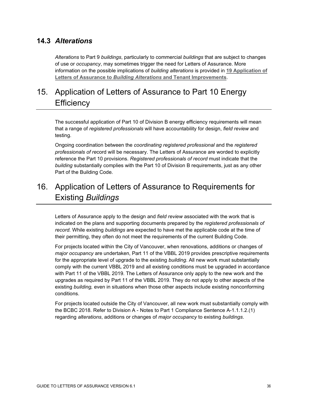### <span id="page-36-0"></span>**14.3** *Alterations*

*Alterations* to Part 9 *buildings*, particularly to commercial *buildings* that are subject to changes of use or *occupancy*, may sometimes trigger the need for Letters of Assurance. More information on the possible implications of *building alterations* is provided in **19 [Application of](#page-40-0)  Letters of Assurance to** *Building Alterations* **[and Tenant Improvements](#page-40-0)**.

# <span id="page-36-1"></span>15. Application of Letters of Assurance to Part 10 Energy **Efficiency**

The successful application of Part 10 of Division B energy efficiency requirements will mean that a range of *registered professionals* will have accountability for design, *field review* and testing.

Ongoing coordination between the *coordinating registered professional* and the *registered professionals of re*cord will be necessary. The Letters of Assurance are worded to explicitly reference the Part 10 provisions. *Registered professionals of record* must indicate that the *building* substantially complies with the Part 10 of Division B requirements, just as any other Part of the Building Code.

# <span id="page-36-2"></span>16. Application of Letters of Assurance to Requirements for Existing *Buildings*

Letters of Assurance apply to the design and *field review* associated with the work that is indicated on the plans and supporting documents prepared by the *registered professionals of record.* While existing *buildings* are expected to have met the applicable code at the time of their permitting, they often do not meet the requirements of the current Building Code.

For projects located within the City of Vancouver, when renovations, additions or changes of *major occupancy* are undertaken, Part 11 of the VBBL 2019 provides prescriptive requirements for the appropriate level of upgrade to the existing *building*. All new work must substantially comply with the current VBBL 2019 and all existing conditions must be upgraded in accordance with Part 11 of the VBBL 2019. The Letters of Assurance only apply to the new work and the upgrades as required by Part 11 of the VBBL 2019. They do not apply to other aspects of the existing *building,* even in situations when those other aspects include existing nonconforming conditions.

For projects located outside the City of Vancouver, all new work must substantially comply with the BCBC 2018. Refer to Division A - Notes to Part 1 Compliance Sentence A-1.1.1.2.(1) regarding *alterations*, additions or changes of *major occupancy* to existing *buildings*.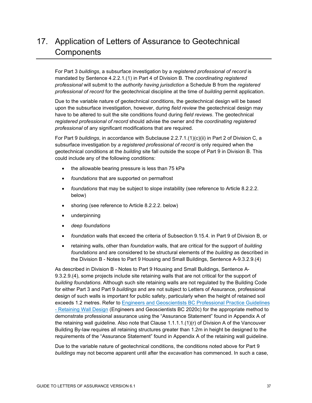# <span id="page-37-0"></span>17. Application of Letters of Assurance to Geotechnical **Components**

For Part 3 *buildings*, a subsurface investigation by a *registered professional of record* is mandated by Sentence 4.2.2.1.(1) in Part 4 of Division B. The *coordinating registered professional* will submit to the *authority having jurisdiction* a Schedule B from the *registered professional of record* for the geotechnical discipline at the time of *building* permit application.

Due to the variable nature of geotechnical conditions, the geotechnical design will be based upon the subsurface investigation, however, during *field review* the geotechnical design may have to be altered to suit the site conditions found during *field reviews*. The geotechnical *registered professional of record* should advise the owner and the *coordinating registered professional* of any significant modifications that are required.

For Part 9 *buildings*, in accordance with Subclause 2.2.7.1.(1)(c)(ii) in Part 2 of Division C, a subsurface investigation by *a registered professional of record* is only required when the geotechnical conditions at the *building* site fall outside the scope of Part 9 in Division B. This could include any of the following conditions:

- the allowable bearing pressure is less than 75 kPa
- *foundations* that are supported on permafrost
- *foundations* that may be subject to slope instability (see reference to Article 8.2.2.2. below)
- shoring (see reference to Article 8.2.2.2. below)
- underpinning
- *deep foundations*
- *foundation* walls that exceed the criteria of Subsection 9.15.4. in Part 9 of Division B, or
- retaining walls, other than *foundation* walls, that are critical for the support of *building foundations* and are considered to be structural elements of the *building* as described in the Division B - Notes to Part 9 Housing and Small Buildings, Sentence A-9.3.2.9.(4)

As described in Division B - Notes to Part 9 Housing and Small Buildings, Sentence A-9.3.2.9.(4), some projects include site retaining walls that are not critical for the support of *building foundations*. Although such site retaining walls are not regulated by the Building Code for either Part 3 and Part 9 *buildings* and are not subject to Letters of Assurance, professional design of such walls is important for public safety, particularly when the height of retained soil exceeds 1.2 metres. Refer to [Engineers and Geoscientists BC Professional Practice Guidelines](https://www.egbc.ca/app/Practice-Resources/Individual-Practice/Guidelines-Advisories) - [Retaining Wall Design](https://www.egbc.ca/app/Practice-Resources/Individual-Practice/Guidelines-Advisories) (Engineers and Geoscientists BC 2020c) for the appropriate method to demonstrate professional assurance using the "Assurance Statement" found in Appendix A of the retaining wall guideline. Also note that Clause 1.1.1.1.(1)(r) of Division A of the Vancouver Building By-law requires all retaining structures greater than 1.2m in height be designed to the requirements of the "Assurance Statement" found in Appendix A of the retaining wall guideline.

Due to the variable nature of geotechnical conditions, the conditions noted above for Part 9 *buildings* may not become apparent until after the *excavation* has commenced. In such a case,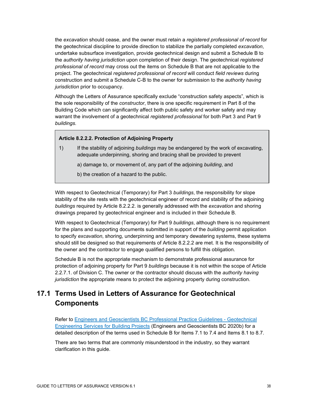the *excavation* should cease, and the owner must retain a *registered professional of record* for the geotechnical discipline to provide direction to stabilize the partially completed *excavation*, undertake subsurface investigation, provide geotechnical design and submit a Schedule B to the *authority having jurisdiction* upon completion of their design. The geotechnical *registered professional of record* may cross out the items on Schedule B that are not applicable to the project. The geotechnical *registered professional of record* will conduct *field reviews* during construction and submit a Schedule C-B to the owner for submission to the *authority having jurisdiction* prior to occupancy.

Although the Letters of Assurance specifically exclude "construction safety aspects", which is the sole responsibility of the *constructor*, there is one specific requirement in Part 8 of the Building Code which can significantly affect both public safety and worker safety and may warrant the involvement of a geotechnical *registered professional* for both Part 3 and Part 9 *buildings.*

#### **Article 8.2.2.2. Protection of Adjoining Property**

1) If the stability of adjoining *buildings* may be endangered by the work of excavating, adequate underpinning, shoring and bracing shall be provided to prevent

a) damage to, or movement of, any part of the adjoining *building*, and

b) the creation of a hazard to the public.

With respect to Geotechnical (Temporary) for Part 3 *buildings*, the responsibility for slope stability of the site rests with the geotechnical engineer of record and stability of the adjoining *buildings* required by Article 8.2.2.2. is generally addressed with the *excavation* and shoring drawings prepared by geotechnical engineer and is included in their Schedule B.

With respect to Geotechnical (Temporary) for Part 9 *buildings*, although there is no requirement for the plans and supporting documents submitted in support of the *building* permit application to specify *excavation*, shoring, underpinning and temporary dewatering systems, these systems should still be designed so that requirements of Article 8.2.2.2 are met. It is the responsibility of the owner and the contractor to engage qualified persons to fulfill this obligation.

Schedule B is not the appropriate mechanism to demonstrate professional assurance for protection of adjoining property for Part 9 *buildings* because it is not within the scope of Article 2.2.7.1. of Division C. The owner or the contractor should discuss with the *authority having jurisdiction* the appropriate means to protect the adjoining property during construction.

# <span id="page-38-0"></span>**17.1 Terms Used in Letters of Assurance for Geotechnical Components**

Refer to [Engineers and Geoscientists BC Professional Practice Guidelines -](https://www.egbc.ca/app/Practice-Resources/Individual-Practice/Guidelines-Advisories) Geotechnical [Engineering Services for Building Projects](https://www.egbc.ca/app/Practice-Resources/Individual-Practice/Guidelines-Advisories) (Engineers and Geoscientists BC 2020b) for a detailed description of the terms used in Schedule B for Items 7.1 to 7.4 and Items 8.1 to 8.7.

There are two terms that are commonly misunderstood in the industry, so they warrant clarification in this guide.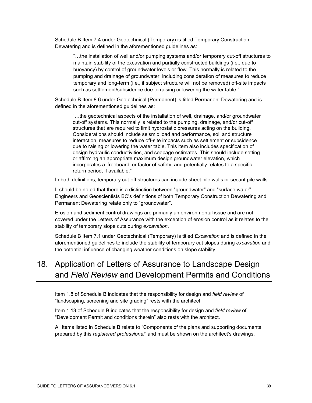Schedule B Item 7.4 under Geotechnical (Temporary) is titled Temporary Construction Dewatering and is defined in the aforementioned guidelines as:

"…the installation of well and/or pumping systems and/or temporary cut-off structures to maintain stability of the excavation and partially constructed buildings (i.e., due to buoyancy) by control of groundwater levels or flow. This normally is related to the pumping and drainage of groundwater, including consideration of measures to reduce temporary and long-term (i.e., if subject structure will not be removed) off-site impacts such as settlement/subsidence due to raising or lowering the water table."

Schedule B Item 8.6 under Geotechnical (Permanent) is titled Permanent Dewatering and is defined in the aforementioned guidelines as:

"…the geotechnical aspects of the installation of well, drainage, and/or groundwater cut-off systems. This normally is related to the pumping, drainage, and/or cut-off structures that are required to limit hydrostatic pressures acting on the building. Considerations should include seismic load and performance, soil and structure interaction, measures to reduce off-site impacts such as settlement or subsidence due to raising or lowering the water table. This item also includes specification of design hydraulic conductivities, and seepage estimates. This should include setting or affirming an appropriate maximum design groundwater elevation, which incorporates a 'freeboard' or factor of safety, and potentially relates to a specific return period, if available."

In both definitions, temporary cut-off structures can include sheet pile walls or secant pile walls.

It should be noted that there is a distinction between "groundwater" and "surface water". Engineers and Geoscientists BC's definitions of both Temporary Construction Dewatering and Permanent Dewatering relate only to "groundwater".

Erosion and sediment control drawings are primarily an environmental issue and are not covered under the Letters of Assurance with the exception of erosion control as it relates to the stability of temporary slope cuts during *excavation*.

Schedule B Item 7.1 under Geotechnical (Temporary) is titled *Excavation* and is defined in the aforementioned guidelines to include the stability of temporary cut slopes during *excavation* and the potential influence of changing weather conditions on slope stability.

# <span id="page-39-0"></span>18. Application of Letters of Assurance to Landscape Design and *Field Review* and Development Permits and Conditions

Item 1.8 of Schedule B indicates that the responsibility for design and *field review* of "landscaping, screening and site grading" rests with the architect.

Item 1.13 of Schedule B indicates that the responsibility for design and *field review* of "Development Permit and conditions therein" also rests with the architect.

All items listed in Schedule B relate to "Components of the plans and supporting documents prepared by this *registered professional*" and must be shown on the architect's drawings.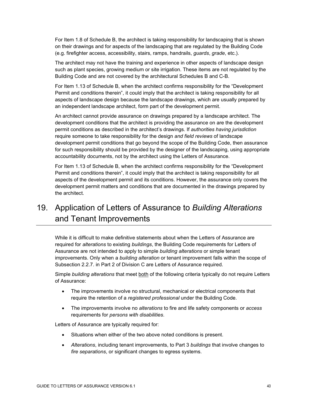For Item 1.8 of Schedule B, the architect is taking responsibility for landscaping that is shown on their drawings and for aspects of the landscaping that are regulated by the Building Code (e.g. firefighter access, accessibility, stairs, ramps, handrails, *guards*, *grade*, etc.).

The architect may not have the training and experience in other aspects of landscape design such as plant species, growing medium or site irrigation. These items are not regulated by the Building Code and are not covered by the architectural Schedules B and C-B.

For Item 1.13 of Schedule B, when the architect confirms responsibility for the "Development Permit and conditions therein", it could imply that the architect is taking responsibility for all aspects of landscape design because the landscape drawings, which are usually prepared by an independent landscape architect, form part of the development permit.

An architect cannot provide assurance on drawings prepared by a landscape architect. The development conditions that the architect is providing the assurance on are the development permit conditions as described in the architect's drawings. If *authorities having jurisdiction* require someone to take responsibility for the design *and field reviews* of landscape development permit conditions that go beyond the scope of the Building Code, then assurance for such responsibility should be provided by the designer of the landscaping, using appropriate accountability documents, not by the architect using the Letters of Assurance.

For Item 1.13 of Schedule B, when the architect confirms responsibility for the "Development Permit and conditions therein", it could imply that the architect is taking responsibility for all aspects of the development permit and its conditions. However, the assurance only covers the development permit matters and conditions that are documented in the drawings prepared by the architect.

<span id="page-40-0"></span>19. Application of Letters of Assurance to *Building Alterations* and Tenant Improvements

While it is difficult to make definitive statements about when the Letters of Assurance are required for *alterations* to existing *buildings*, the Building Code requirements for Letters of Assurance are not intended to apply to simple *building alterations* or simple tenant improvements. Only when a *building alteration* or tenant improvement falls within the scope of Subsection 2.2.7. in Part 2 of Division C are Letters of Assurance required.

Simple *building alterations* that meet both of the following criteria typically do not require Letters of Assurance:

- The improvements involve no structural, mechanical or electrical components that require the retention of a *registered professional* under the Building Code.
- The improvements involve no *alterations* to fire and life safety components or *access* requirements for *persons with disabilities*.

Letters of Assurance are typically required for:

- Situations when either of the two above noted conditions is present.
- *Alterations*, including tenant improvements, to Part 3 *buildings* that involve changes to *fire separations*, or significant changes to egress systems.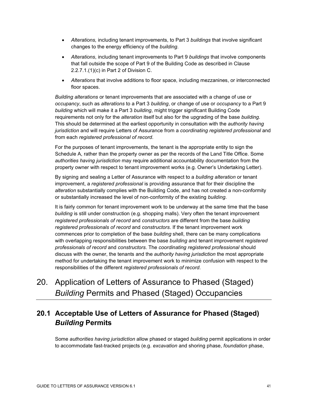- *Alterations,* including tenant improvements, to Part 3 *buildings* that involve significant changes to the energy efficiency of the *building*.
- *Alterations*, including tenant improvements to Part 9 *buildings* that involve components that fall outside the scope of Part 9 of the Building Code as described in Clause 2.2.7.1.(1)(c) in Part 2 of Division C.
- *Alterations* that involve additions to floor space, including mezzanines, or interconnected floor spaces.

*Building alterations* or tenant improvements that are associated with a change of use or *occupancy*, such as *alterations* to a Part 3 *building*, or change of use or *occupancy* to a Part 9 *building* which will make it a Part 3 *building*, might trigger significant Building Code requirements not only for the *alteration* itself but also for the upgrading of the base *building*. This should be determined at the earliest opportunity in consultation with the *authority having jurisdiction* and will require Letters of Assurance from a *coordinating registered professional* and from each *registered professional of record*.

For the purposes of tenant improvements, the tenant is the appropriate entity to sign the Schedule A, rather than the property owner as per the records of the Land Title Office. Some *authorities having jurisdiction* may require additional accountability documentation from the property owner with respect to tenant improvement works (e.g. Owner's Undertaking Letter).

By signing and sealing a Letter of Assurance with respect to a *building alteration* or tenant improvement, a *registered professional* is providing assurance that for their discipline the *alteration* substantially complies with the Building Code, and has not created a non-conformity or substantially increased the level of non-conformity of the existing *building*.

It is fairly common for tenant improvement work to be underway at the same time that the base *building* is still under construction (e.g. shopping malls). Very often the tenant improvement *registered professionals of record* and *constructors* are different from the base *building registered professionals of record* and *constructors*. If the tenant improvement work commences prior to completion of the base *building* shell, there can be many complications with overlapping responsibilities between the base *building* and tenant improvement *registered professionals of record* and *constructors*. The *coordinating registered professional* should discuss with the owner, the tenants and the *authority having jurisdiction* the most appropriate method for undertaking the tenant improvement work to minimize confusion with respect to the responsibilities of the different *registered professionals of record*.

<span id="page-41-0"></span>20. Application of Letters of Assurance to Phased (Staged) *Building* Permits and Phased (Staged) Occupancies

### <span id="page-41-1"></span>**20.1 Acceptable Use of Letters of Assurance for Phased (Staged)** *Building* **Permits**

Some *authorities having jurisdiction* allow phased or staged *building* permit applications in order to accommodate fast-tracked projects (e.g. *excavation* and shoring phase, *foundation* phase,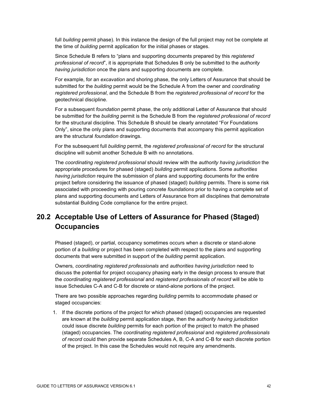full *building* permit phase). In this instance the design of the full project may not be complete at the time of *building* permit application for the initial phases or stages.

Since Schedule B refers to "plans and supporting documents prepared by this *registered professional of record*", it is appropriate that Schedules B only be submitted to the *authority having jurisdiction* once the plans and supporting documents are complete.

For example, for an *excavation* and shoring phase, the only Letters of Assurance that should be submitted for the *building* permit would be the Schedule A from the owner and *coordinating registered professional*, and the Schedule B from the *registered professional of record* for the geotechnical discipline.

For a subsequent *foundation* permit phase, the only additional Letter of Assurance that should be submitted for the *building* permit is the Schedule B from the *registered professional of record* for the structural discipline. This Schedule B should be clearly annotated "For Foundations Only", since the only plans and supporting documents that accompany this permit application are the structural *foundation* drawings.

For the subsequent full *building* permit, the *registered professional of record* for the structural discipline will submit another Schedule B with no annotations.

The *coordinating registered professional* should review with the *authority having jurisdiction* the appropriate procedures for phased (staged) *building* permit applications. Some *authorities having jurisdiction* require the submission of plans and supporting documents for the entire project before considering the issuance of phased (staged) *building* permits. There is some risk associated with proceeding with pouring concrete *foundations* prior to having a complete set of plans and supporting documents and Letters of Assurance from all disciplines that demonstrate substantial Building Code compliance for the entire project.

### <span id="page-42-0"></span>**20.2 Acceptable Use of Letters of Assurance for Phased (Staged) Occupancies**

Phased (staged), or partial, occupancy sometimes occurs when a discrete or stand-alone portion of a *building* or project has been completed with respect to the plans and supporting documents that were submitted in support of the *building* permit application.

Owners*, coordinating registered professionals* and *authorities having jurisdiction* need to discuss the potential for project occupancy phasing early in the design process to ensure that the *coordinating registered professional* and *registered professionals of record* will be able to issue Schedules C-A and C-B for discrete or stand-alone portions of the project.

There are two possible approaches regarding *building* permits to accommodate phased or staged occupancies:

1. If the discrete portions of the project for which phased (staged) occupancies are requested are known at the *building* permit application stage, then the *authority having jurisdiction* could issue discrete *building* permits for each portion of the project to match the phased (staged) occupancies. The *coordinating registered professional* and *registered professionals of record* could then provide separate Schedules A, B, C-A and C-B for each discrete portion of the project. In this case the Schedules would not require any amendments.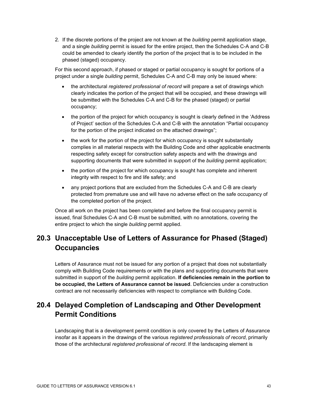2. If the discrete portions of the project are not known at the *building* permit application stage, and a single *building* permit is issued for the entire project, then the Schedules C-A and C-B could be amended to clearly identify the portion of the project that is to be included in the phased (staged) occupancy.

For this second approach, if phased or staged or partial occupancy is sought for portions of a project under a single *building* permit, Schedules C-A and C-B may only be issued where:

- the architectural *registered professional of record* will prepare a set of drawings which clearly indicates the portion of the project that will be occupied, and these drawings will be submitted with the Schedules C-A and C-B for the phased (staged) or partial occupancy;
- the portion of the project for which occupancy is sought is clearly defined in the 'Address of Project' section of the Schedules C-A and C-B with the annotation "Partial occupancy for the portion of the project indicated on the attached drawings";
- the work for the portion of the project for which occupancy is sought substantially complies in all material respects with the Building Code and other applicable enactments respecting safety except for construction safety aspects and with the drawings and supporting documents that were submitted in support of the *building* permit application;
- the portion of the project for which occupancy is sought has complete and inherent integrity with respect to fire and life safety; and
- any project portions that are excluded from the Schedules C-A and C-B are clearly protected from premature use and will have no adverse effect on the safe occupancy of the completed portion of the project.

Once all work on the project has been completed and before the final occupancy permit is issued, final Schedules C-A and C-B must be submitted, with no annotations, covering the entire project to which the single *building* permit applied.

### <span id="page-43-0"></span>**20.3 Unacceptable Use of Letters of Assurance for Phased (Staged) Occupancies**

Letters of Assurance must not be issued for any portion of a project that does not substantially comply with Building Code requirements or with the plans and supporting documents that were submitted in support of the *building* permit application. **If deficiencies remain in the portion to be occupied, the Letters of Assurance cannot be issued**. Deficiencies under a construction contract are not necessarily deficiencies with respect to compliance with Building Code.

### <span id="page-43-1"></span>**20.4 Delayed Completion of Landscaping and Other Development Permit Conditions**

Landscaping that is a development permit condition is only covered by the Letters of Assurance insofar as it appears in the drawings of the various *registered professionals of record*, primarily those of the architectural *registered professional of record*. If the landscaping element is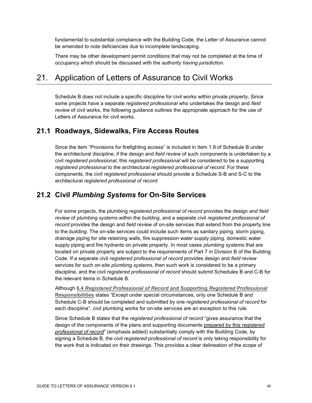fundamental to substantial compliance with the Building Code, the Letter of Assurance cannot be amended to note deficiencies due to incomplete landscaping.

There may be other development permit conditions that may not be completed at the time of occupancy which should be discussed with the *authority having jurisdiction*.

### <span id="page-44-0"></span>21. Application of Letters of Assurance to Civil Works

Schedule B does not include a specific discipline for civil works within private property. Since some projects have a separate *registered professional* who undertakes the design and *field review* of civil works, the following guidance outlines the appropriate approach for the use of Letters of Assurance for civil works.

#### <span id="page-44-1"></span>**21.1 Roadways, Sidewalks, Fire Access Routes**

Since the item "Provisions for firefighting access" is included in Item 1.9 of Schedule B under the architectural discipline, if the design and *field review* of such components is undertaken by a civil *registered professional*, this *registered professional* will be considered to be a supporting *registered professional* to the architectural *registered professional of record*. For these components, the civil *registered professional* should provide a Schedule S-B and S-C to the architectural *registered professional of record.*

#### <span id="page-44-2"></span>**21.2 Civil** *Plumbing Systems* **for On-Site Services**

For some projects, the plumbing *registered professional of record* provides the design *and field review* of *plumbing systems* within the *building*, and a separate civil *registered professional of record* provides the design and *field review* of on-site services that extend from the property line to the *building*. The on-site services could include such items as sanitary piping, storm piping, drainage piping for site retaining walls, fire suppression water supply piping, domestic water supply piping and fire hydrants on private property. In most cases *plumbing systems* that are located on private property are subject to the requirements of Part 7 in Division B of the Building Code. If a separate civil *registered professional of record* provides design and *field review* services for such on-site *plumbing systems*, then such work is considered to be a primary discipline, and the civil *registered professional of record* should submit Schedules B and C-B for the relevant items in Schedule B.

Although **6.4** *[Registered Professional of Record](#page-19-0)* **and Supporting** *Registered Professional* **[Responsibilities](#page-19-0)** states "Except under special circumstances, only one Schedule B and Schedule C-B should be completed and submitted by one *registered professional of record* for each discipline", civil plumbing works for on-site services are an exception to this rule.

Since Schedule B states that the *registered professional of record* "gives assurance that the design of the components of the plans and supporting documents prepared by this *registered professional of record*" (emphasis added) substantially comply with the Building Code, by signing a Schedule B, the civil *registered professional of record* is only taking responsibility for the work that is indicated on their drawings. This provides a clear delineation of the scope of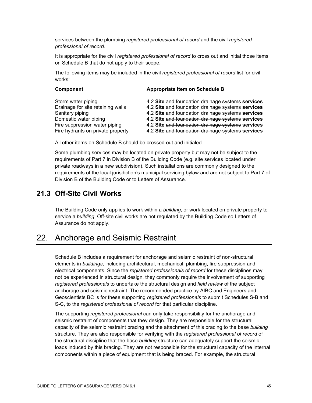services between the plumbing *registered professional of record* and the civil *registered professional of record*.

It is appropriate for the civil *registered professional of record* to cross out and initial those items on Schedule B that do not apply to their scope.

The following items may be included in the civil *registered professional of record* list for civil works:

| Component                                                                                                                                                                 | Appropriate Item on Schedule B                                                                                                                                                                                                                                                                                             |  |  |
|---------------------------------------------------------------------------------------------------------------------------------------------------------------------------|----------------------------------------------------------------------------------------------------------------------------------------------------------------------------------------------------------------------------------------------------------------------------------------------------------------------------|--|--|
| Storm water piping<br>Drainage for site retaining walls<br>Sanitary piping<br>Domestic water piping<br>Fire suppression water piping<br>Fire hydrants on private property | 4.2 Site and foundation drainage systems services<br>4.2 Site and foundation drainage systems services<br>4.2 Site and foundation drainage systems services<br>4.2 Site and foundation drainage systems services<br>4.2 Site and foundation drainage systems services<br>4.2 Site and foundation drainage systems services |  |  |
|                                                                                                                                                                           |                                                                                                                                                                                                                                                                                                                            |  |  |

All other items on Schedule B should be crossed out and initialed.

Some plumbing services may be located on private property but may not be subject to the requirements of Part 7 in Division B of the Building Code (e.g. site services located under private roadways in a new subdivision). Such installations are commonly designed to the requirements of the local jurisdiction's municipal servicing bylaw and are not subject to Part 7 of Division B of the Building Code or to Letters of Assurance.

#### <span id="page-45-0"></span>**21.3 Off-Site Civil Works**

The Building Code only applies to work within a *building*, or work located on private property to service a *building*. Off-site civil works are not regulated by the Building Code so Letters of Assurance do not apply.

### <span id="page-45-1"></span>22. Anchorage and Seismic Restraint

Schedule B includes a requirement for anchorage and seismic restraint of non-structural elements in *buildings*, including architectural, mechanical, plumbing, fire suppression and electrical components. Since the *registered professionals of record* for these disciplines may not be experienced in structural design, they commonly require the involvement of supporting *registered professionals* to undertake the structural design and *field review* of the subject anchorage and seismic restraint. The recommended practice by AIBC and Engineers and Geoscientists BC is for these supporting *registered professionals* to submit Schedules S-B and S-C, to the *registered professional of record* for that particular discipline.

The supporting *registered professional* can only take responsibility for the anchorage and seismic restraint of components that they design. They are responsible for the structural capacity of the seismic restraint bracing and the attachment of this bracing to the base *building* structure. They are also responsible for verifying with the *registered professional of record* of the structural discipline that the base *building* structure can adequately support the seismic loads induced by this bracing. They are not responsible for the structural capacity of the internal components within a piece of equipment that is being braced. For example, the structural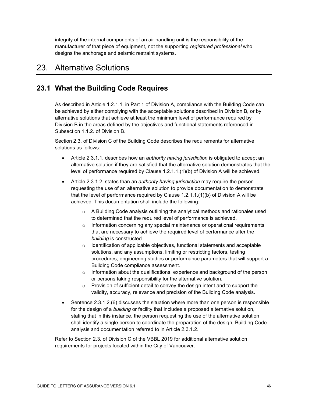integrity of the internal components of an air handling unit is the responsibility of the manufacturer of that piece of equipment, not the supporting *registered professional* who designs the anchorage and seismic restraint systems.

### <span id="page-46-0"></span>23. Alternative Solutions

### <span id="page-46-1"></span>**23.1 What the Building Code Requires**

As described in Article 1.2.1.1. in Part 1 of Division A, compliance with the Building Code can be achieved by either complying with the acceptable solutions described in Division B, or by alternative solutions that achieve at least the minimum level of performance required by Division B in the areas defined by the objectives and functional statements referenced in Subsection 1.1.2. of Division B.

Section 2.3. of Division C of the Building Code describes the requirements for alternative solutions as follows:

- Article 2.3.1.1. describes how an *authority having jurisdiction* is obligated to accept an alternative solution if they are satisfied that the alternative solution demonstrates that the level of performance required by Clause 1.2.1.1.(1)(b) of Division A will be achieved.
- Article 2.3.1.2. states than an *authority having jurisdiction* may require the person requesting the use of an alternative solution to provide documentation to demonstrate that the level of performance required by Clause 1.2.1.1.(1)(b) of Division A will be achieved. This documentation shall include the following:
	- $\circ$  A Building Code analysis outlining the analytical methods and rationales used to determined that the required level of performance is achieved.
	- $\circ$  Information concerning any special maintenance or operational requirements that are necessary to achieve the required level of performance after the *building* is constructed.
	- $\circ$  Identification of applicable objectives, functional statements and acceptable solutions, and any assumptions, limiting or restricting factors, testing procedures, engineering studies or performance parameters that will support a Building Code compliance assessment.
	- $\circ$  Information about the qualifications, experience and background of the person or persons taking responsibility for the alternative solution.
	- o Provision of sufficient detail to convey the design intent and to support the validity, accuracy, relevance and precision of the Building Code analysis.
- Sentence 2.3.1.2.(6) discusses the situation where more than one person is responsible for the design of a *building* or facility that includes a proposed alternative solution, stating that in this instance, the person requesting the use of the alternative solution shall identify a single person to coordinate the preparation of the design, Building Code analysis and documentation referred to in Article 2.3.1.2.

Refer to Section 2.3. of Division C of the VBBL 2019 for additional alternative solution requirements for projects located within the City of Vancouver.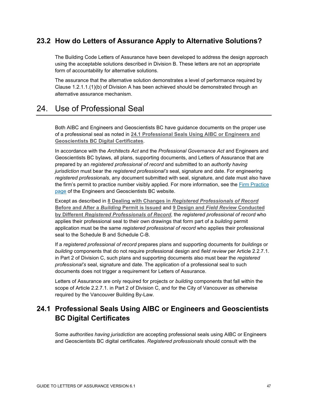### <span id="page-47-0"></span>**23.2 How do Letters of Assurance Apply to Alternative Solutions?**

The Building Code Letters of Assurance have been developed to address the design approach using the acceptable solutions described in Division B. These letters are not an appropriate form of accountability for alternative solutions.

The assurance that the alternative solution demonstrates a level of performance required by Clause 1.2.1.1.(1)(b) of Division A has been achieved should be demonstrated through an alternative assurance mechanism.

### <span id="page-47-1"></span>24. Use of Professional Seal

Both AIBC and Engineers and Geoscientists BC have guidance documents on the proper use of a professional seal as noted in **[24.1 Professional Seals Using AIBC or Engineers and](#page-47-2)  [Geoscientists BC Digital Certificates](#page-47-2)**.

In accordance with the *Architects Act* and the *Professional Governance Act* and Engineers and Geoscientists BC bylaws, all plans, supporting documents, and Letters of Assurance that are prepared by an *registered professional of record* and submitted to an *authority having jurisdiction* must bear the *registered professional's* seal, signature and date. For engineering *registered professionals*, any document submitted with seal, signature, and date must also have the firm's permit to practice number visibly applied. For more information, see the Firm Practice [page](https://www.egbc.ca/Practice-Resources/Firm-Practice/Firm-Practice) of the Engineers and Geoscientists BC website.

Except as described in **8 Dealing with Changes in** *[Registered Professionals of Record](#page-22-0)* **[Before and After a](#page-22-0)** *Building* **Permit is Issued** and **[9 Design and](#page-30-0)** *Field Review* **Conducted by Different** *[Registered Professionals of Record](#page-30-0)*, the *registered professional of record* who applies their professional seal to their own drawings that form part of a *building* permit application must be the same *registered professional of record* who applies their professional seal to the Schedule B and Schedule C-B.

If a *registered professional of record* prepares plans and supporting documents for *buildings* or *building* components that do not require professional design and *field review* per Article 2.2.7.1. in Part 2 of Division C, such plans and supporting documents also must bear the *registered professional's* seal, signature and date. The application of a professional seal to such documents does not trigger a requirement for Letters of Assurance.

Letters of Assurance are only required for projects or *building* components that fall within the scope of Article 2.2.7.1. in Part 2 of Division C, and for the City of Vancouver as otherwise required by the Vancouver Building By-Law.

# <span id="page-47-2"></span>**24.1 Professional Seals Using AIBC or Engineers and Geoscientists BC Digital Certificates**

Some *authorities having jurisdiction* are accepting professional seals using AIBC or Engineers and Geoscientists BC digital certificates. *Registered professionals* should consult with the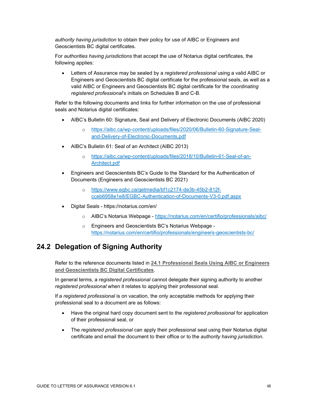*authority having jurisdiction* to obtain their policy for use of AIBC or Engineers and Geoscientists BC digital certificates.

For *authorities having jurisdictions* that accept the use of Notarius digital certificates, the following applies:

• Letters of Assurance may be sealed by a *registered professional* using a valid AIBC or Engineers and Geoscientists BC digital certificate for the professional seals, as well as a valid AIBC or Engineers and Geoscientists BC digital certificate for the *coordinating registered professional*'s initials on Schedules B and C-B.

Refer to the following documents and links for further information on the use of professional seals and Notarius digital certificates:

- AIBC's Bulletin 60: Signature, Seal and Delivery of Electronic Documents (AIBC 2020)
	- o [https://aibc.ca/wp-content/uploads/files/2020/06/Bulletin-60-Signature-Seal](https://aibc.ca/wp-content/uploads/files/2020/06/Bulletin-60-Signature-Seal-and-Delivery-of-Electronic-Documents.pdf)[and-Delivery-of-Electronic-Documents.pdf](https://aibc.ca/wp-content/uploads/files/2020/06/Bulletin-60-Signature-Seal-and-Delivery-of-Electronic-Documents.pdf)
- AIBC's Bulletin 61: Seal of an Architect (AIBC 2013)
	- o [https://aibc.ca/wp-content/uploads/files/2018/10/Bulletin-61-Seal-of-an-](https://aibc.ca/wp-content/uploads/files/2018/10/Bulletin-61-Seal-of-an-Architect.pdf)[Architect.pdf](https://aibc.ca/wp-content/uploads/files/2018/10/Bulletin-61-Seal-of-an-Architect.pdf)
- Engineers and Geoscientists BC's Guide to the Standard for the Authentication of Documents (Engineers and Geoscientists BC 2021)
	- o [https://www.egbc.ca/getmedia/bf1c2174-de3b-45b2-812f](https://www.egbc.ca/getmedia/bf1c2174-de3b-45b2-812f-cceb6958e1e8/EGBC-Authentication-of-Documents-V3-0.pdf.aspx)[cceb6958e1e8/EGBC-Authentication-of-Documents-V3-0.pdf.aspx](https://www.egbc.ca/getmedia/bf1c2174-de3b-45b2-812f-cceb6958e1e8/EGBC-Authentication-of-Documents-V3-0.pdf.aspx)
- Digital Seals <https://notarius.com/en/>
	- o AIBC's Notarius Webpage <https://notarius.com/en/certifio/professionals/aibc/>
	- o Engineers and Geoscientists BC's Notarius Webpage <https://notarius.com/en/certifio/professionals/engineers-geoscientists-bc/>

# <span id="page-48-0"></span>**24.2 Delegation of Signing Authority**

Refer to the reference documents listed in **[24.1 Professional Seals Using AIBC or Engineers](#page-47-2)  [and Geoscientists BC Digital Certificates](#page-47-2)**.

In general terms, a *registered professional* cannot delegate their signing authority to another *registered professional* when it relates to applying their professional seal.

If a *registered professional* is on vacation, the only acceptable methods for applying their professional seal to a document are as follows:

- Have the original hard copy document sent to the *registered professional* for application of their professional seal, or
- The *registered professional* can apply their professional seal using their Notarius digital certificate and email the document to their office or to the *authority having jurisdiction*.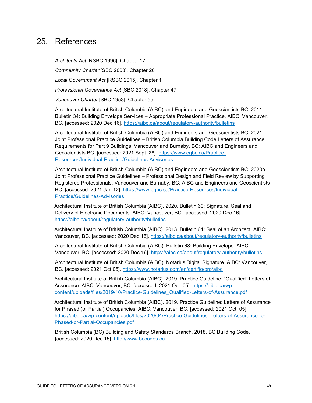### <span id="page-49-0"></span>25. References

*Architects Act* [RSBC 1996], Chapter 17 *Community Charter* [SBC 2003], Chapter 26 *Local Government Act* [RSBC 2015], Chapter 1 *Professional Governance Act* [SBC 2018], Chapter 47 *Vancouver Charter* [SBC 1953], Chapter 55

Architectural Institute of British Columbia (AIBC) and Engineers and Geoscientists BC. 2011. Bulletin 34: Building Envelope Services – Appropriate Professional Practice. AIBC: Vancouver, BC. [accessed: 2020 Dec 16].<https://aibc.ca/about/regulatory-authority/bulletins>

Architectural Institute of British Columbia (AIBC) and Engineers and Geoscientists BC. 2021. Joint Professional Practice Guidelines – British Columbia Building Code Letters of Assurance Requirements for Part 9 Buildings. Vancouver and Burnaby, BC: AIBC and Engineers and Geoscientists BC. [accessed: 2021 Sept. 28]. [https://www.egbc.ca/Practice-](https://www.egbc.ca/Practice-Resources/Individual-Practice/Guidelines-Advisories)[Resources/Individual-Practice/Guidelines-Advisories](https://www.egbc.ca/Practice-Resources/Individual-Practice/Guidelines-Advisories)

Architectural Institute of British Columbia (AIBC) and Engineers and Geoscientists BC. 2020b. Joint Professional Practice Guidelines – Professional Design and Field Review by Supporting Registered Professionals. Vancouver and Burnaby, BC: AIBC and Engineers and Geoscientists BC. [accessed: 2021 Jan 12]. [https://www.egbc.ca/Practice-Resources/Individual-](https://www.egbc.ca/Practice-Resources/Individual-Practice/Guidelines-Advisories)[Practice/Guidelines-Advisories](https://www.egbc.ca/Practice-Resources/Individual-Practice/Guidelines-Advisories)

Architectural Institute of British Columbia (AIBC). 2020. Bulletin 60: Signature, Seal and Delivery of Electronic Documents. AIBC: Vancouver, BC. [accessed: 2020 Dec 16]. <https://aibc.ca/about/regulatory-authority/bulletins>

Architectural Institute of British Columbia (AIBC). 2013. Bulletin 61: Seal of an Architect. AIBC: Vancouver, BC. [accessed: 2020 Dec 16].<https://aibc.ca/about/regulatory-authority/bulletins>

Architectural Institute of British Columbia (AIBC). Bulletin 68: Building Envelope. AIBC: Vancouver, BC. [accessed: 2020 Dec 16].<https://aibc.ca/about/regulatory-authority/bulletins>

Architectural Institute of British Columbia (AIBC). Notarius Digital Signature. AIBC: Vancouver, BC. [accessed: 2021 Oct 05].<https://www.notarius.com/en/certifio/pro/aibc>

Architectural Institute of British Columbia (AIBC). 2019. Practice Guideline: "Qualified" Letters of Assurance. AIBC: Vancouver, BC. [accessed: 2021 Oct. 05]. [https://aibc.ca/wp](https://aibc.ca/wp-content/uploads/files/2019/10/Practice-Guidelines_Qualified-Letters-of-Assurance.pdf)[content/uploads/files/2019/10/Practice-Guidelines\\_Qualified-Letters-of-Assurance.pdf](https://aibc.ca/wp-content/uploads/files/2019/10/Practice-Guidelines_Qualified-Letters-of-Assurance.pdf)

Architectural Institute of British Columbia (AIBC). 2019. Practice Guideline: Letters of Assurance for Phased (or Partial) Occupancies. AIBC: Vancouver, BC. [accessed: 2021 Oct. 05]. [https://aibc.ca/wp-content/uploads/files/2020/04/Practice-Guidelines\\_Letters-of-Assurance-for-](https://aibc.ca/wp-content/uploads/files/2020/04/Practice-Guidelines_Letters-of-Assurance-for-Phased-or-Partial-Occupancies.pdf)[Phased-or-Partial-Occupancies.pdf](https://aibc.ca/wp-content/uploads/files/2020/04/Practice-Guidelines_Letters-of-Assurance-for-Phased-or-Partial-Occupancies.pdf)

British Columbia (BC) Building and Safety Standards Branch. 2018. BC Building Code. [accessed: 2020 Dec 15]. [http://www.bccodes.ca](http://www.bccodes.ca/)